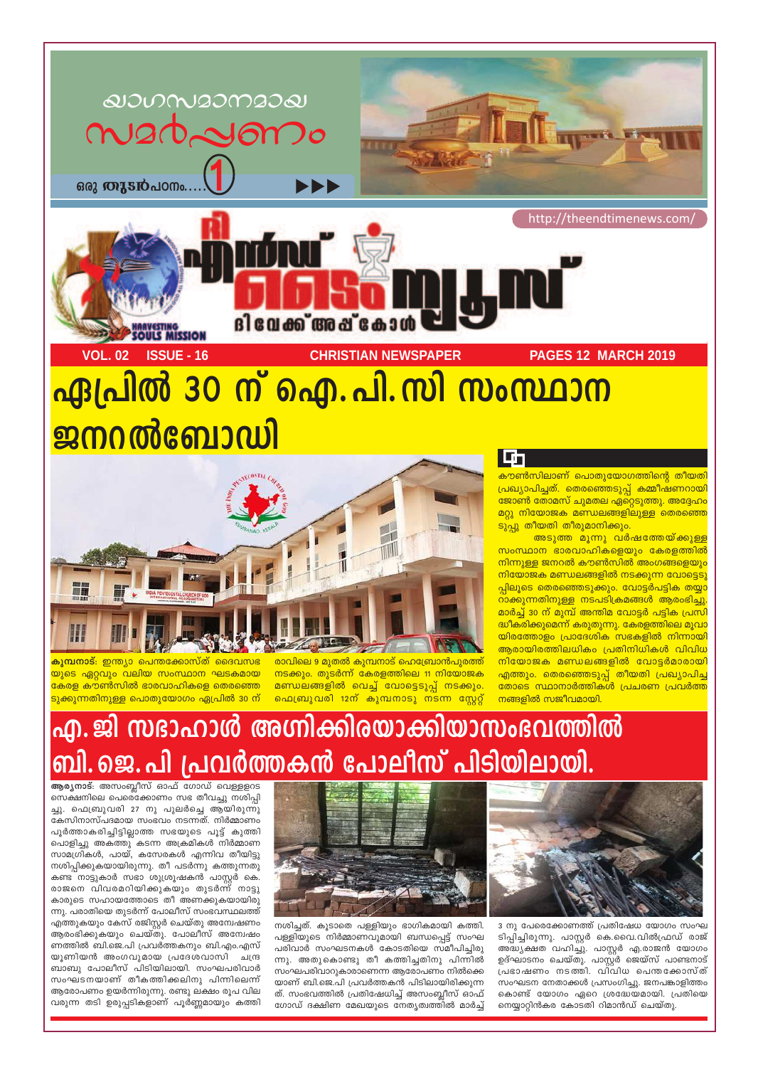

# ഏപ്രിൽ 30 ന് ഐ.പി.സി സംസ്ഥാന ജനറൽബോഡി



<mark>കുമ്പനാട്:</mark> ഇന്ത്യാ പെന്തക്കോസ്ത് ദൈവസഭ <mark>യുടെ ഏറ്റവും വലിയ സംസ്ഥാന ഘടകമായ</mark> കേരള കൗൺസിൽ ഭാരവാഹികളെ തെരഞ്ഞെ <mark>ടുക്കുന്നതിനുള്ള പൊതുയോഗം ഏപ്രിൽ 30 ന്</mark> രാവിലെ 9 മുതൽ കുമ്പനാട് ഹെബ്രോൻപുരത്ത് നടക്കും. തുടർന്ന് കേരളത്തിലെ 11 നിയോജക മണ്ഡലങ്ങളിൽ വെച്ച് വോട്ടെടുപ്പ് നടക്കും. ഫെബ്രുവരി 12ന് കുമ്പനാടു നടന്ന സ്റ്റേറ്റ്

## എ. ജി സദാഹാൾ അഗ്നിക്കിരയാക്കിയാസംഭവത്തിൽ ബി.ജെ.പി പ്രവർത്തകൻ പോലീസ് പിടിയിലായി.



3 നു പേരെക്കോണത്ത് പ്രതിഷേധ യോഗം സംഘ ടിപ്പിച്ചിരുന്നു. പാസ്റ്റർ കെ.വൈ.വിൽഫ്രഡ് രാജ് അദ്ധ്യക്ഷത വഹിച്ചു. പാസ്റ്റർ എ.രാജൻ യോഗം ഉദ്ഘാടനം ചെയ്തു. പാസ്റ്റർ ജെയ്സ് പാണ്ടനാട് പ്രഭാഷണം നടത്തി. വിവിധ പെന്തക്കോസ്ത് സംഘടന നേതാക്കൾ പ്രസംഗിച്ചു. ജനപങ്കാളിത്തം കൊണ്ട് യോഗം ഏറെ ശ്രദ്ധേയമായി. പ്രതിയെ നെയ്യാറ്റിൻകര കോടതി റിമാൻഡ് ചെയ്തു.



നശിച്ചത്. കൂടാതെ പള്ളിയും ഭാഗികമായി കത്തി. പള്ളിയുടെ നിർമ്മാണവുമായി ബന്ധപ്പെട്ട് സംഘ പരിവാർ സംഘടനകൾ കോടതിയെ സമീപിച്ചിരു ന്നു. അതുകൊണ്ടു തീ കത്തിച്ചതിനു പിന്നിൽ സംഘപരിവാറുകാരാണെന്ന ആരോപണം നിൽക്കെ യാണ് ബി.ജെ.പി പ്രവർത്തകൻ പിടിലായിരിക്കുന്ന ത്. സംഭവത്തിൽ പ്രതിഷേധിച്ച് അസംബ്ലീസ് ഓഫ് ഗോഡ് ദക്ഷിണ മേഖയുടെ നേതൃത്വത്തിൽ മാർച്ച്

ആര്യനാട്: അസംബ്ലീസ് ഓഫ് ഗോഡ് വെള്ളളറട സെക്ഷനിലെ പെരെ്ക്കോണം സഭ തീവച്ചു നശിപ്പി ച്ചു. ഫെബ്രുവരി 27 നു പുലർച്ചെ ആയിരുന്നു കേസിനാസ്പദമായ സംഭവം നടന്നത്. നിർമ്മാണം പൂർത്താകരിച്ചിട്ടില്ലാത്ത സഭയുടെ പൂട്ട് കുത്തി പൊളിച്ചു അകത്തു കടന്ന അക്രമികൾ നിർമ്മാണ സാമഗ്രികൾ, പായ്, കസേരകൾ എന്നിവ തീയിട്ടു നശിപ്പിക്കുകയായിരുന്നു. തീ പടർന്നു കത്തുന്നതു കണ്ട നാട്ടുകാർ സഭാ ശുശ്രൂഷകൻ പാസ്റ്റർ കെ. രാജനെ വിവരമറിയിക്കുകയും തുടർന്ന് നാട്ടു കാരുടെ സഹായത്തോടെ തീ അണക്കുകയായിരു ന്നു. പരാതിയെ തുടർന്ന് പോലീസ് സംഭവസ്ഥലത്ത് എത്തുകയും കേസ് രജിസ്റ്റർ ചെയ്തു അന്വേഷണം ആരംഭിക്കുകയും ചെയ്തു. പോലീസ് അന്വേഷം ണത്തിൽ ബി.ജെ.പി പ്രവർത്തകനും ബി.എം.എസ് യൂണിയൻ അംഗവുമായ പ്രദേശവാസി ചന്ദ്ര ബാബു പോലീസ് പിടിയിലായി. സംഘപരിവാർ സംഘടനയാണ് തീകത്തിക്കലിനു പിന്നിലെന്ന് ആരോപണം ഉയർന്നിരുന്നു. രണ്ടു ലക്ഷം രൂപ വില വരുന്ന തടി ഉരുപ്പടികളാണ് പൂർണ്ണമായും കത്തി

#### <u>I</u>n

<mark>കൗൺസിലാണ് പൊതുയോഗത്തിന്റെ തീയതി</mark> <u>പ്രഖ്യാപിച്ചത്. തെരഞ്ഞെടുപ്പ് കമ്മീഷണറായി</u> <u>ജോൺ തോമസ് ചുമതല ഏറ്റെടുത്തു. അദ്ദേഹം</u> <u>മറ്റു നിയോജക മണ്ഡലങ്ങളിലുള്ള തെരഞ്ഞെ</u> ടുപ്പു തീയതി തീരുമാനിക്കും.

<mark>അടുത്ത മൂന്നു വർഷത്തേയ്ക്കുള്ള</mark> സംസ്ഥാന ഭാരവാഹികളെയും കേരളത്തിൽ നിന്നുള്ള ജനറൽ കൗൺസിൽ അംഗങ്ങളെയും നിയോജക മണ്ഡലങ്ങളിൽ നടക്കുന്ന വോട്ടെടു <mark>പ്പിലൂടെ തെരഞ്ഞെടുക്കും. വോട്ടർപട്ടിക തയ്യ</mark>ാ റാക്കുന്നതിനുള്ള നടപടിക്രമങ്ങൾ ആരംഭിച്ചു. മാർച്ച് 30 ന് മുമ്പ് അന്തിമ വോട്ടർ പട്ടിക പ്രസി <mark>ദ്ധീകരിക്കുമെന്ന് കരുതുന്നു. കേരളത്തിലെ മൂവ</mark>ാ യിരത്തോളം പ്രാദേശിക സഭകളിൽ നിന്നായി ആരായിരത്തിലധികം പ്രതിനിധികൾ വിവിധ നിയോജക മണ്ഡലങ്ങളിൽ വോട്ടർമാരായി <mark>എത്തും. തെരഞ്ഞെടുപ്പ് തീയതി പ്രഖ്യാപിച്ച</mark> <u>തോടെ സ്ഥാനാർത്തികൾ പ്രചരണ പ്രവർത്ത</u> നങ്ങളിൽ സജീവമായി.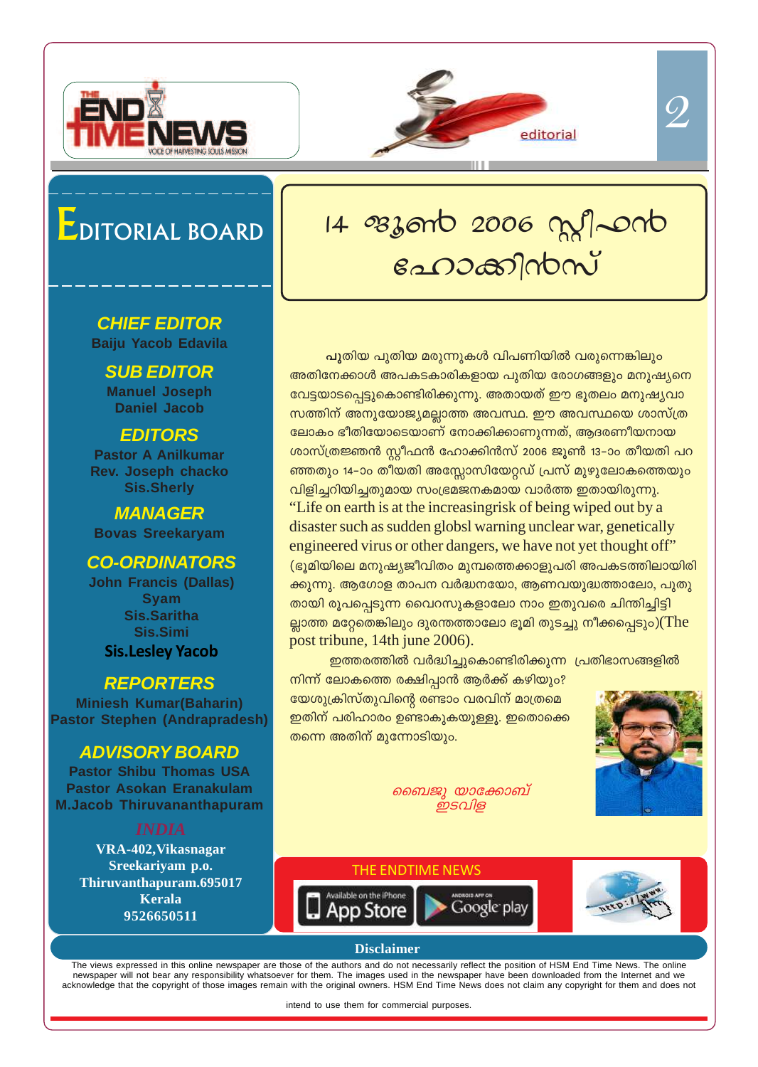



## EDITORIAL BOARD

#### **CHIEF EDITOR Baiju Yacob Edavila**

**SUB EDITOR Manuel Joseph Daniel Jacob**

#### **EDITORS**

**Pastor A Anilkumar Rev. Joseph chacko Sis.Sherly**

**MANAGER Bovas Sreekaryam**

#### **CO-ORDINATORS**

**John Francis (Dallas) Syam Sis.Saritha Sis.Simi Sis.Lesley Yacob**

#### **REPORTERS**

**Miniesh Kumar(Baharin) Pastor Stephen (Andrapradesh)**

#### **ADVISORY BOARD**

**Pastor Shibu Thomas USA Pastor Asokan Eranakulam M.Jacob Thiruvananthapuram**

**VRA-402,Vikasnagar Sreekariyam p.o. Thiruvanthapuram.695017 Kerala 9526650511**

# 14 ezzont 2006 mg/2010 tlm°n≥kv

<mark>പു</mark>തിയ പുതിയ മരുന്നുകൾ വിപണിയിൽ വരുന്നെങ്കിലും അതിനേക്കാൾ അപകടകാരികളായ പുതിയ രോഗങ്ങളും മനുഷ്യനെ വേട്ടയാടപ്പെട്ടുകൊണ്ടിരിക്കുന്നു. അതായത് ഈ ഭൂതലം മനുഷ്യവാ സത്തിന് അനുയോജ്യമല്ലാത്ത അവസ്ഥ. ഈ അവസ്ഥയെ ശാസ്ത്ര <u>ലോകം ഭീതിയോടെയാണ് നോക്കിക്കാണുന്നത്, ആദരണീയനായ</u> ശാസ്ത്രജ്ഞൻ സ്റ്റീഫൻ ഹോക്കിൻസ് 2006 ജൂൺ 13−ാം തീയതി പറ ണ്തതും 14–ാം തീയതി അസ്സോസിയേറ്റഡ് പ്രസ് മുഴുലോകത്തെയും  $\alpha$ ിളിച്ചറിയിച്ചതുമായ സംഭ്രമജനകമായ വാർത്ത ഇതായിരുന്നു. "Life on earth is at the increasingrisk of being wiped out by a disaster such as sudden globsl warning unclear war, genetically engineered virus or other dangers, we have not yet thought off"  $\overline{p}$ (ഭൂമിയിലെ മനുഷ്യജീവിതം മുമ്പത്തെക്കാളുപരി അപകടത്തിലായിരി ക്കുന്നു. ആഗോള താപന വർദ്ധനയോ, ആണവയുദ്ധത്താലോ, പുതു തായി രൂപപ്പെടുന്ന വൈറസുകളാലോ നാം ഇതുവരെ ചിന്തിച്ചിട്ടി ല്ലാത്ത മറ്റേതെങ്കിലും ദുരന്തത്താലോ ഭൂമി തുടച്ചു നീക്കപ്പെടും)(The post tribune, 14th june 2006).

ഇത്തരത്തിൽ വർദ്ധിച്ചുകൊണ്ടിരിക്കുന്ന പ്രതിഭാസങ്ങളിൽ

 $\Omega$ നിന്ന് ലോകത്തെ രക്ഷിപ്പാൻ ആർക്ക് കഴിയും? യേശുക്രിസ്തുവിന്റെ രണ്ടാം വരവിന് മാത്രമെ ഇതിന് പരിഹാരം ഉണ്ടാകുകയുള്ളൂ. ഇതൊക്കെ  $\overline{\phantom{\mathbf{0}}\mathbf{0}}$ തന്നെ അതിന് മുന്നോടിയും.

> *പൈജു യാക്കോബ് ഇടവിള*





#### **Disclaimer**

The views expressed in this online newspaper are those of the authors and do not necessarily reflect the position of HSM End Time News. The online newspaper will not bear any responsibility whatsoever for them. The images used in the newspaper have been downloaded from the Internet and we acknowledge that the copyright of those images remain with the original owners. HSM End Time News does not claim any copyright for them and does not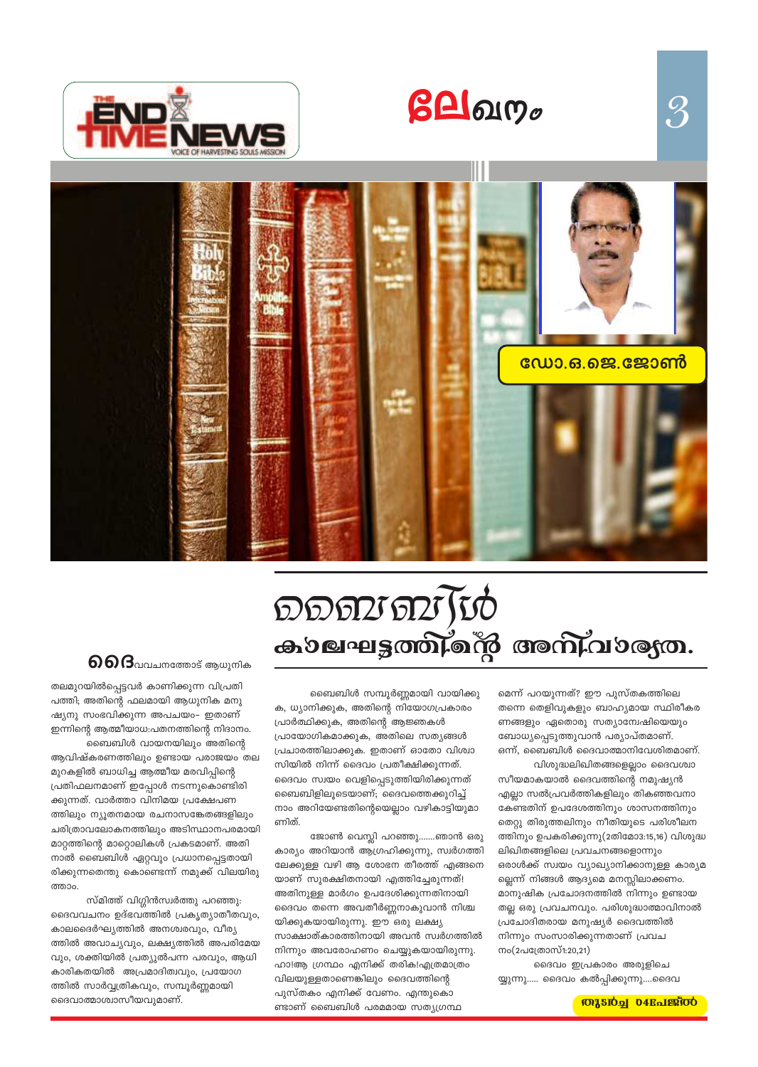



# DDDD DD TU കാലഘട്ടത്തിന്റെ അനിവാര്യത.

 $g$ **A** $g$ 

#### ബൈബിൾ സമ്പൂർണ്ണമായി വായിക്കു

ക, ധ്യാനിക്കുക, അതിന്റെ നിയോഗപ്രകാരം പ്രാർത്ഥിക്കുക, അതിന്റെ ആജ്ഞകൾ പ്രായോഗികമാക്കുക, അതിലെ സത്യങ്ങൾ പ്രചാരത്തിലാക്കുക. ഇതാണ് ഓതോ വിശ്വാ സിയിൽ നിന്ന് ദൈവം പ്രതീക്ഷിക്കുന്നത്. ദൈവം സ്വയം വെളിപ്പെടുത്തിയിരിക്കുന്നത് ബൈബിളിലൂടെയാണ്; ദൈവത്തെക്കുറിച്ച് നാം അറിയേണ്ടതിന്റെയെല്ലാം വഴികാട്ടിയുമാ ണിത്.

ജോൺ വെസ്ലി പറഞ്ഞു…….ഞാൻ ഒരു കാര്യം അറിയാൻ ആഗ്രഹിക്കുന്നു, സ്വർഗത്തി ലേക്കുള്ള വഴി ആ ശോഭന തീരത്ത് എങ്ങനെ യാണ് സുരക്ഷിതനായി എത്തിച്ചേരുന്നത്! അതിനുള്ള മാർഗം ഉപദേശിക്കുന്നതിനായി ദൈവം തന്നെ അവതീർണ്ണനാകുവാൻ നിശ്ച യിക്കുകയായിരുന്നു. ഈ ഒരു ലക്ഷ്യ സാക്ഷാത്കാരത്തിനായി അവൻ സ്വർഗത്തിൽ നിന്നും അവരോഹണം ചെയ്യുകയായിരുന്നു. ഹാ!ആ ഗ്രന്ഥം എനിക്ക് തരിക!എത്രമാത്രം വിലയുള്ളതാണെങ്കിലും ദൈവത്തിന്റെ പുസ്തകം എനിക്ക് വേണം. എന്തുകൊ ണ്ടാണ് ബൈബിൾ പരമമായ സത്യഗ്രന്ഥ

മെന്ന് പറയുന്നത്? ഈ പുസ്തകത്തിലെ തന്നെ തെളിവുകളും ബാഹ്യമായ സ്ഥിരീകര ണങ്ങളും ഏതൊരു സത്യാന്വേഷിയെയും ബോധ്യപ്പെടുത്തുവാൻ പര്യാപ്തമാണ്. ഒന്ന്, ബൈബിൾ ദൈവാത്മാനിവേശിതമാണ്.

 $\mathcal{S}$ 

വിശുദ്ധലിഖിതങ്ങളെല്ലാം ദൈവശ്വാ സീയമാകയാൽ ദൈവത്തിന്റെ നമുഷ്യൻ എല്ലാ സൽപ്രവർത്തികളിലും തികഞ്ഞവനാ കേണ്ടതിന് ഉപദേശത്തിനും ശാസനത്തിനും തെറ്റു തിരുത്തലിനും നീതിയുടെ പരിശീലന ത്തിനും ഉപകരിക്കുന്നു(2തിമോ3:15,16) വിശുദ്ധ ലിഖിതങ്ങളിലെ പ്രവചനങ്ങളൊന്നും ഒരാൾക്ക് സ്വയം വ്യാഖ്യാനിക്കാനുള്ള കാര്യമ ല്ലെന്ന് നിങ്ങൾ ആദ്യമെ മനസ്സിലാക്കണം. മാനുഷിക പ്രചോദനത്തിൽ നിന്നും ഉണ്ടായ തല്ല ഒരു പ്രവചനവും. പരിശുദ്ധാത്മാവിനാൽ പ്രചോദിതരായ മനുഷ്യർ ദൈവത്തിൽ നിന്നും സംസാരിക്കുന്നതാണ് പ്രവച നം(2പത്രോസ്1:20,21)

ദൈവം ഇപ്രകാരം അരുളിചെ യ്യുന്നു..... ദൈവം കൽപ്പിക്കുന്നു....ദൈവ

#### **M'220<sup>1</sup> 04Rolesioo**

 $\boldsymbol{\Theta}$   $\boldsymbol{\Theta}$   $\boldsymbol{\Theta}$ വവചനത്തോട് ആധുനിക തലമുറയിൽപ്പെട്ടവർ കാണിക്കുന്ന വിപ്രതി

പത്തി; അതിന്റെ ഫലമായി ആധുനിക മനു ഷ്യനു സംഭവിക്കുന്ന അപചയം– ഇതാണ് ഇന്നിന്റെ ആത്മീയാധ:പതനത്തിന്റെ നിദാനം. ബൈബിൾ വായനയിലും അതിന്റെ

ആവിഷ്കരണത്തിലും ഉണ്ടായ പരാജയം തല മുറകളിൽ ബാധിച്ച ആത്മീയ മരവിപ്പിന്റെ പ്രതിഫലനമാണ് ഇപ്പോൾ നടന്നുകൊണ്ടിരി ക്കുന്നത്. വാർത്താ വിനിമയ പ്രക്ഷേപണ ത്തിലും ന്യൂതനമായ രചനാസങ്കേതങ്ങളിലും ചരിത്രാവലോകനത്തിലും അടിസ്ഥാനപരമായി മാറ്റത്തിന്റെ മാറ്റൊലികൾ പ്രകടമാണ്. അതി നാൽ ബൈബിൾ ഏറ്റവും പ്രധാനപ്പെട്ടതായി രിക്കുന്നതെന്തു കൊണ്ടെന്ന് നമുക്ക് വിലയിരു ത്താം

സ്മിത്ത് വിഗ്ഗിൻസ്വർത്തു പറഞ്ഞു: ദൈവവചനം ഉദ്ഭവത്തിൽ പ്രകൃത്യാതീതവും, കാലദൈർഘ്യത്തിൽ അനശ്വരവും, വീര്യ ത്തിൽ അവാച്യവും, ലക്ഷ്യത്തിൽ അപരിമേയ വും, ശക്തിയിൽ പ്രത്യുൽപന്ന പരവും, ആധി കാരികതയിൽ അപ്രമാദിത്വവും, പ്രയോഗ ത്തിൽ സാർവ്വത്രികവും, സമ്പൂർണ്ണമായി ദൈവാത്മാശ്വാസീയവുമാണ്.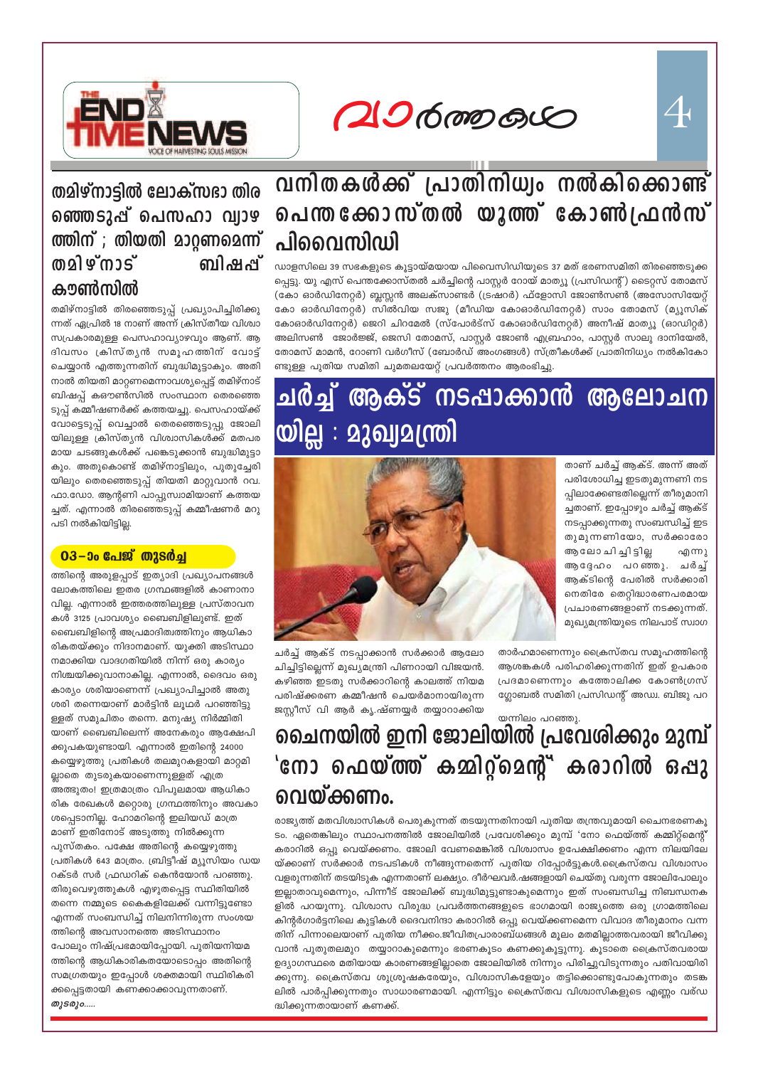

#### തമിഴ്നാട്ടിൽ ലോക്സദാ തിര ഞ്ഞെടുപ്പ് പെസഹാ വ്യാഴ ത്തിന് ; തിയതി മാറ്റണമെന്ന് **@**2] ഴ്നാട് ബി*ഷ*പ്പ് കൗൺസിൽ

തമിഴ്നാട്ടിൽ തിരഞ്ഞെടുപ്പ് പ്രഖ്യാപിച്ചിരിക്കു ന്നത് ഏപ്രിൽ 18 നാണ് അന്ന് ക്രിസ്തീയ വിശ്വാ സപ്രകാരമുള്ള പെസഹാവ്യാഴവും ആണ്. ആ ദിവസം ക്രിസ്തൃൻ സമൂഹത്തിന് വോട്ട് ചെയ്യാൻ എത്തുന്നതിന് ബുദ്ധിമുട്ടാകും. അതി നാൽ തിയതി മാറ്റണമെന്നാവശ്യപ്പെട്ട് തമിഴ്നാട് ബിഷപ്പ് കഔൺസിൽ സംസ്ഥാന തെരഞ്ഞെ ടുപ്പ് കമ്മീഷണർക്ക് കത്തയച്ചു. പെസഹായ്ക്ക് വോട്ടെടുപ്പ് വെച്ചാൽ തെരഞ്ഞെടുപ്പു ജോലി യിലുള്ള ക്രിസ്തൃൻ വിശ്വാസികൾക്ക് മതപര മായ ചടങ്ങുകൾക്ക് പങ്കെടുക്കാൻ ബുദ്ധിമുട്ടാ കും. അതുകൊണ്ട് തമിഴ്നാട്ടിലും, പുതുച്ചേരി യിലും തെരഞ്ഞെടുപ്പ് തിയതി മാറ്റുവാൻ റവ. ഫാ.ഡോ. ആന്റണി പാപ്പുസ്വാമിയാണ് കത്തയ ച്ചത്. എന്നാൽ തിരഞ്ഞെടുപ്പ് കമ്മീഷണർ മറു പടി നൽകിയിട്ടില്ല.

#### <u>03–ാം പേജ് തുടർച്ച</u>

ത്തിന്റെ അരുളപ്പാട് ഇത്യാദി പ്രഖ്യാപനങ്ങൾ ലോകത്തിലെ ഇതര ഗ്രന്ഥങ്ങളിൽ കാണാനാ വില്ല. എന്നാൽ ഇത്തരത്തിലുള്ള പ്രസ്താവന കൾ 3125 പ്രാവശ്യം ബൈബിളിലുണ്ട്. ഇത് ബൈബിളിന്റെ അപ്രമാദിത്വത്തിനും ആധികാ രികതയ്ക്കും നിദാനമാണ്. യുക്തി അടിസ്ഥാ നമാക്കിയ വാദഗതിയിൽ നിന്ന് ഒരു കാര്യം നിശ്ചയിക്കുവാനാകില്ല. എന്നാൽ, ദൈവം ഒരു കാര്യം ശരിയാണെന്ന് പ്രഖ്യാപിച്ചാൽ അതു ശരി തന്നെയാണ് മാർട്ടിൻ ലൂഥർ പറഞ്ഞിട്ടു ള്ളത് സമുചിതം തന്നെ. മനുഷ്യ നിർമ്മിതി യാണ് ബൈബിലെന്ന് അനേകരും ആക്ഷേപി ക്കുപകയുണ്ടായി. എന്നാൽ ഇതിന്റെ 24000 കയ്യെഴുത്തു പ്രതികൾ തലമുറകളായി മാറ്റമി ല്ലാതെ തുടരുകയാണെന്നുള്ളത് എത്ര അത്ഭുതം! ഇത്രമാത്രം വിപുലമായ ആധികാ രിക രേഖകൾ മറ്റൊരു ഗ്രന്ഥത്തിനും അവകാ ശപ്പെടാനില്ല. ഹോമറിന്റെ ഇലിയഡ് മാത്ര മാണ് ഇതിനോട് അടുത്തു നിൽക്കുന്ന പുസ്തകം. പക്ഷേ അതിന്റെ കയ്യെഴുത്തു പ്രതികൾ 643 മാത്രം. ബ്രിട്ടീഷ് മ്യൂസിയം ഡയ റക്ടർ സർ ഫ്രഡറിക് കെൻയോൻ പറഞ്ഞു. തിരുവെഴുത്തുകൾ എഴുതപ്പെട്ട സ്ഥിതിയിൽ തന്നെ നമ്മുടെ കൈകളിലേക്ക് വന്നിട്ടുണ്ടോ എന്നത് സംബന്ധിച്ച് നിലനിന്നിരുന്ന സംശയ ത്തിന്റെ അവസാനത്തെ അടിസ്ഥാനം പോലും നിഷ്പ്രഭമായിപ്പോയി. പുതിയനിയമ ത്തിന്റെ ആധികാരികതയോടൊപ്പം അതിന്റെ സമഗ്രതയും ഇപ്പോൾ ശക്തമായി സ്ഥിരികരി ക്കപ്പെട്ടതായി കണക്കാക്കാവുന്നതാണ്. തുടരും.....

 $206$  mp  $60$ 

## വനിതകൾക്ക് പ്രാതിനിധ്വം നൽകിക്കൊണ്ട് പെന്ത ക്കോസ്തൽ യുത്ത് കോൺഫ്രൻസ് പിവൈസിഡി

ഡാളസിലെ 39 സഭകളുടെ കൂട്ടായ്മയായ പിവൈസിഡിയുടെ 37 മത് ഭരണസമിതി തിരഞ്ഞെടുക്ക പ്പെട്ടു. യു എസ് പെന്തക്കോസ്തൽ ചർച്ചിന്റെ പാസ്റ്റർ റോയ് മാത്യൂ (പ്രസിഡന്റ്) ടൈറ്റസ് തോമസ് (കോ ഓർഡിനേറ്റർ) ബ്ലസ്സൻ അലക്സാണ്ടർ (ട്രഷറർ) ഫ്ളോസി ജോൺസൺ (അസോസിയേറ്റ് കോ ഓർഡിനേറ്റർ) സിൽവിയ സജു (മീഡിയ കോഓർഡിനേറ്റർ) സാം തോമസ് (മ്യൂസിക് കോഓർഡിനേറ്റർ) ജെറി ചിറമേൽ (സ്പോർട്സ് കോഓർഡിനേറ്റർ) അനീഷ് മാത്യൂ (ഓഡിറ്റർ) അലിസൺ ജോർജ്ജ്, ജെസി തോമസ്, പാസ്റ്റർ ജോൺ എബ്രഹാം, പാസ്റ്റർ സാലു ദാനിയേൽ, തോമസ് മാമൻ, റോണി വർഗീസ് (ബോർഡ് അംഗങ്ങൾ) സ്ത്രീകൾക്ക് പ്രാതിനിധ്യം നൽകികോ ണ്ടുള്ള പുതിയ സമിതി ചുമതലയേറ്റ് പ്രവർത്തനം ആരംഭിച്ചു.

## ആക്ട് നടപ്പാക്കാൻ ആലോചന <u>ு (ரெ</u> യില്ല : മുഖ്വമന്ത്രി

താണ് ചർച്ച് ആക്ട്. അന്ന് അത് പരിശോധിച്ച ഇടതുമുന്നണി നട പ്പിലാക്കേണ്ടതില്ലെന്ന് തീരുമാനി ച്ചതാണ്. ഇപ്പോഴും ചർച്ച് ആക്ട് നടപ്പാക്കുന്നതു സംബന്ധിച്ച് ഇട തുമുന്നണിയോ, സർക്കാരോ ആലോ ചിച്ചിട്ടില്ല എന്നു ആദ്ദേഹം പറഞ്ഞു. ചർച്ച് ആക്ടിന്റെ പേരിൽ സർക്കാരി നെതിരേ തെറ്റിദ്ധാരണപരമായ പ്രചാരണങ്ങളാണ് നടക്കുന്നത്. മുഖ്യമന്ത്രിയുടെ നിലപാട് സ്വാഗ

 $\overline{\mathcal{A}}$ 



ചർച്ച് ആക്ട് നടപ്പാക്കാൻ സർക്കാർ ആലോ ചിച്ചിട്ടില്ലെന്ന് മുഖ്യമന്ത്രി പിണറായി വിജയൻ. കഴിഞ്ഞ ഇടതു സർക്കാറിന്റെ കാലത്ത് നിയമ പരിഷ്ക്കരണ കമ്മീഷൻ ചെയർമാനായിരുന്ന ജസ്റ്റീസ് വി ആർ കൃ.ഷ്ണയ്യർ തയ്യാറാക്കിയ

താർഹമാണെന്നും ക്രൈസ്തവ സമൂഹത്തിന്റെ ആശങ്കകൾ പരിഹരിക്കുന്നതിന് ഇത് ഉപകാര പ്രദമാണെന്നും കത്തോലിക്ക കോൺഗ്രസ് ഗ്ലോബൽ സമിതി പ്രസിഡന്റ് അഡ്വ. ബിജു പറ

യന്നിലം പറഞ്ഞു.

## ചൈനയിൽ ഇനി ജോലിയിൽ പ്രവേശിക്കും മുമ്പ് 'നോ ഫെയ്ത്ത് കമ്മിറ്റ്മെന്റ്' കരാറിൽ ഒപ്പു വെയ്ക്കണം.

രാജ്യത്ത് മതവിശ്വാസികൾ പെരുകുന്നത് തടയുന്നതിനായി പുതിയ തന്ത്രവുമായി ചൈനഭരണകൂ ടം. ഏതെങ്കിലും സ്ഥാപനത്തിൽ ജോലിയിൽ പ്രവേശിക്കും മുമ്പ് 'നോ ഫെയ്ത്ത് കമ്മിറ്റ്മെന്റ് കരാറിൽ ഒപ്പു വെയ്ക്കണം. ജോലി വേണമെങ്കിൽ വിശ<mark>്</mark>വാസം ഉപേക്ഷിക്കണം എന്ന നിലയിലേ യ്ക്കാണ് സർക്കാർ നടപടികൾ നീങ്ങുന്നതെന്ന് പുതിയ റിപ്പോർട്ടുകൾ.പ്രൈസ്തവ വിശ്വാസം വളരുന്നതിന് തടയിടുക എന്നതാണ് ലക്ഷ്യം. ദീർഘവർ.ഷങ്ങളായി ചെയ്തു വരുന്ന ജോലിപോലും ഇല്ലാതാവുമെന്നും, പിന്നീട ജോലിക്ക ബുദ്ധിമുട്ടുണ്ടാകുമെന്നും ഇത സംബന്ധിച്ച നിബന്ധനക ളിൽ പറയുന്നു. വിശ്വാസ വിരുദ്ധ പ്രവർത്തനങ്ങളുടെ ഭാഗമായി രാജ്യത്തെ ഒരു ഗ്രാമത്തിലെ കിന്റർഗാർട്ടനിലെ കുട്ടികൾ ദൈവനിന്ദാ കരാറിൽ ഒപ്പു വെയ്ക്കണമെന്ന വിവാദ തീരുമാനം വന്ന തിന് പിന്നാലെയാണ് പുതിയ നീക്കം.ജീവിതപ്രാരാബ്ധങ്ങൾ മുലം മതമില്ലാത്തവരായി ജീവിക്കു വാൻ പുതുതലമുറ തയ്യാറാകുമെന്നും ഭരണകൂടം കണക്കുകൂട്ടുന്നു. കൂടാതെ ക്രൈസ്തവരായ ഉദ്യാഗസ്ഥരെ മതിയായ കാരണങ്ങളില്ലാതെ ജോലിയിൽ നിന്നും പിരിച്ചുവിടുന്നതും പതിവായിരി ക്കുന്നു. ക്രൈസ്തവ ശുശ്രൂഷകരേയും, വിശ്വാസികളേയും തട്ടിക്കൊണ്ടുപോകുന്നതും തടങ്ക ലിൽ പാർപ്പിക്കുന്നതും സാധാരണമായി. എന്നിട്ടും ക്രൈസ്തവ വിശ്വാസികളുടെ എണ്ണം വര്ഡ ദ്ധിക്കുന്നതായാണ് കണക്ക്.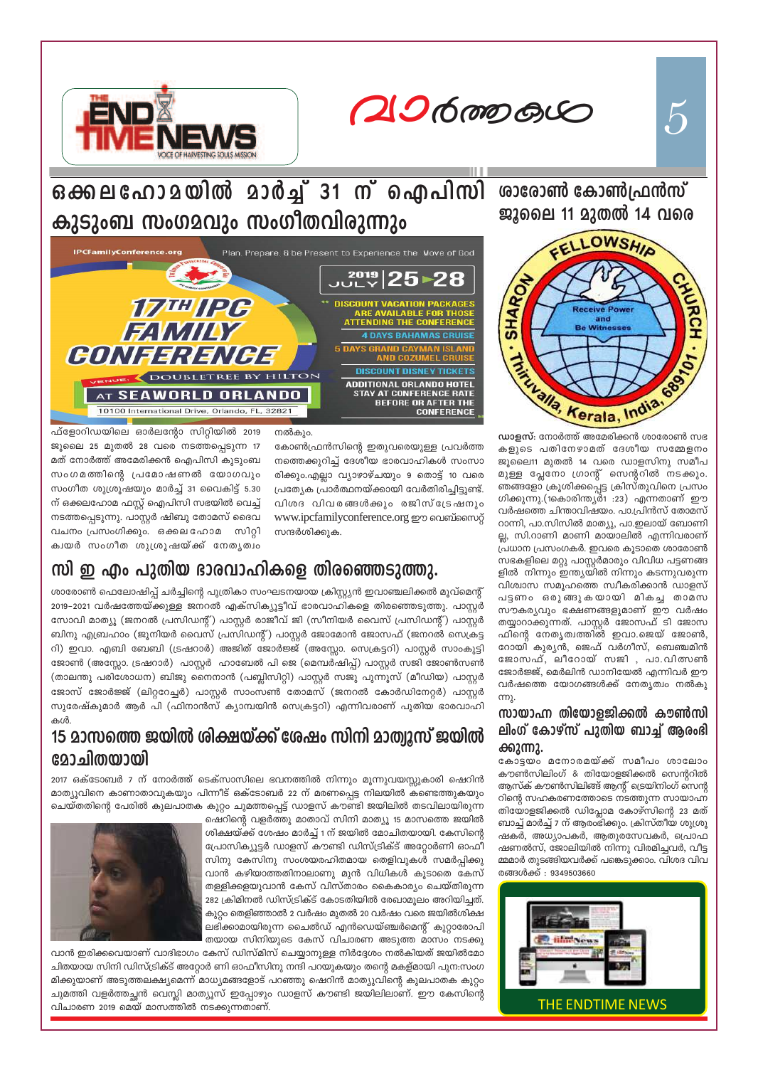20600000



ശാരോൺ കോൺഫ്രൻസ് ജുലൈ 11 മുതൽ 14 വരെ



 $\omega$ ാളസ്: നോർത്ത് അമേരിക്കൻ ശാരോൺ സഭ കളുടെ പതിനേഴാമത് ദേശീയ സമ്മേളനം ജൂലൈ11 മുതൽ 14 വരെ ഡാളസിനു സമീപ മുള്ള പ്ലേനോ ഗ്രാന്റ് സെന്ററിൽ നടക്കും. ഞങ്ങളോ ക്രൂശിക്കപ്പെട്ട ക്രിസ്തുവിനെ പ്രസം ഗിക്കുന്നു.(1കൊരിന്ത്യർ1 :23) എന്നതാണ് ഈ വർഷത്തെ ചിന്താവിഷയം. പാ.പ്രിൻസ് തോമസ് റാന്നി, പാ.സിസിൽ മാത്യു, പാ.ഇലായ് ബോണി ല്ല, സി.റാണി മാണി മായാലിൽ എന്നിവരാണ് പ്രധാന പ്രസംഗകർ. ഇവരെ കൂടാതെ ശാരോൺ സഭകളിലെ മറ്റു പാസ്റ്റർമാരും വിവിധ പട്ടണങ്ങ ളിൽ നിന്നും ഇന്ത്യയിൽ നിന്നും കടന്നുവരുന്ന വിശ്വാസ സമൂഹത്തെ സ്വീകരിക്കാൻ ഡാളസ് പട്ടണം ഒരുങ്ങുകയായി മികച്ച താമസ സൗകര്യവും ഭക്ഷണങ്ങളുമാണ് ഈ വർഷം തയ്യാറാക്കുന്നത്. പാസ്റ്റർ ജോസഫ് ടി ജോസ ഫിന്റെ നേതൃത്വത്തിൽ ഇവാ.ജെയ് ജോൺ, റോയി കുര്യൻ, ജെഫ് വർഗീസ്, ബെഞ്ചമിൻ ജോസഫ്, ലീറോയ് സജി , പാ.വിത്സൺ ജോർജ്ജ്, മെർലിൻ ഡാനിയേൽ എന്നിവർ ഈ വർഷത്തെ യോഗങ്ങൾക്ക് നേതൃത്വം നൽകു

#### സായാഹ്ന തിയോളജിക്കൽ കൗൺസി ലിംഗ് കോഴ്സ് പുതിയ ബാച്ച് ആരംഭി ക്കുന്നു.

കോട്ടയം മനോരമയ്ക്ക് സമീപം ശാലോം കൗൺസിലിംഗ് & തിയോളജിക്കൽ സെന്ററിൽ ആസ്ക് കൗൺസിലിങ്ങ് ആന്റ് ട്രെയിനിംഗ് സെന്റ റിന്റെ സഹകരണത്തോടെ നടത്തുന്ന സായാഹ്ന തിയോളജിക്കൽ ഡിപ്ലോമ കോഴ്സിന്റെ 23 മത് ബാച്ച് മാർച്ച് 7 ന് ആരംഭിക്കും. ക്രിസ്തീയ ശുശ്രൂ ഷകർ, അധ്യാപകർ, ആതുരസേവകർ, പ്രൊഫ ഷണൽസ്, ജോലിയിൽ നിന്നു വിരമിച്ചവർ, വീട്ട മ്മമാർ തുടങ്ങിയവർക്ക് പങ്കെടുക്കാം. വിശദ വിവ രങ്ങൾക്ക് : 9349503660



ഒക്കലഹോമയിൽ മാർച്ച് 31 ന് ഐപിസി കുടുംബ സംഗമവും സംഗീതവിരുന്നും



നൽകും.

സന്ദർശിക്കുക.

കോൺഫ്രൻസിന്റെ ഇതുവരെയുള്ള പ്രവർത്ത

നത്തെക്കുറിച്ച് ദേശീയ ഭാരവാഹികൾ സംസാ

രിക്കും.എല്ലാ വ്യാഴാഴ്ചയും 9 തൊട്ട് 10 വരെ

പ്രത്യേക പ്രാർത്ഥനയ്ക്കായി വേർതിരിച്ചിട്ടുണ്ട്.

വിശദ വിവരങ്ങൾക്കും രജിസ്ട്രേഷനും

www.ipcfamilyconference.org ഈ വെബ്സൈറ്റ്

ഫ്ളോറിഡയിലെ ഓർലന്റോ സിറ്റിയിൽ 2019 ജൂലൈ 25 മുതൽ 28 വരെ നടത്തപ്പെടുന്ന 17 മത് നോർത്ത് അമേരിക്കൻ ഐപിസി കൂടുംബ സംഗമത്തിന്റെ പ്രമോഷണൽ യോഗവും സംഗീത ശുശ്രൂഷയും മാർച്ച് 31 വൈകിട്ട് 5.30 ന് ഒക്കലഹോമ ഫസ്റ്റ് ഐപിസി സഭയിൽ വെച്ച് നടത്തപ്പെടുന്നു. പാസ്റ്റർ ഷിബു തോമസ് ദൈവ വചനം പ്രസംഗിക്കും. ഒക്കലഹോമ സിറ്റി ക്വയർ സംഗീത ശുശ്രൂഷയ്ക്ക് നേതൃത്വം

#### m ഇ എം പുതിയ ഭാരവാഹികളെ തിരഞ്ഞെടുത്തു.

ശാരോൺ ഫെലോഷിപ്പ് ചർച്ചിന്റെ പുത്രികാ സംഘടനയായ ക്രിസ്റ്റ്യൻ ഇവാഞ്ചലിക്കൽ മൂവ്മെന്റ് 2019–2021 വർഷത്തേയ്ക്കുള്ള ജനറൽ എക്സിക്യൂട്ടീവ് ഭാരവാഹികളെ തിരഞ്ഞെടുത്തു. പാസ്റ്റർ സോവി മാത്യൂ (ജനറൽ പ്രസിഡന്റ്) പാസ്റ്റർ രാജീവ് ജി (സീനിയർ വൈസ് പ്രസിഡന്റ്) പാസ്റ്റർ ബിനു എബ്രഹാം (ജൂനിയർ വൈസ് പ്രസിഡന്റ്) പാസ്റ്റർ ജോമോൻ ജോസഫ് (ജനറൽ സെക്രട്ട റി) ഇവാ. എബി ബേബി (ട്രഷറാർ) അജിത് ജോർജ്ജ് (അസ്സോ. സെക്രട്ടറി) പാസ്റ്റർ സാംകുട്ടി ജോൺ (അസ്സോ. ട്രഷറാർ) പാസ്റ്റർ ഹാബേൽ പി ജെ (മെമ്പർഷിപ്പ്) പാസ്റ്റർ സജി ജോൺസൺ (താലന്തു പരിശോധന) ബിജു നൈനാൻ (പബ്ലിസിറ്റി) പാസ്റ്റർ സജു പുന്നൂസ് (മീഡിയ) പാസ്റ്റർ ജോസ് ജോർജ്ജ് (ലിറ്ററേച്ചർ) പാസ്റ്റർ സാംസൺ തോമസ് (ജനറൽ കോർഡിനേറ്റർ) പാസ്റ്റർ സുരേഷ്കുമാർ ആർ പി (ഫിനാൻസ് ക്യാമ്പയിൻ സെക്രട്ടറി) എന്നിവരാണ് പുതിയ ഭാരവാഹി കൾ.

## 15 മാസത്തെ ജയിൽ ശിക്ഷയ്ക്ക് ശേഷം സിനി മാത്വുസ് ജയിൽ മോചിതയായി

2017 ഒക്ടോബർ 7 ന് നോർത്ത് ടെക്സാസിലെ ഭവനത്തിൽ നിന്നും മൂന്നുവയസ്സുകാരി ഷെറിൻ മാത്യൂവിനെ കാണാതാവുകയും പിന്നീട് ഒക്ടോബർ 22 ന് മരണപ്പെട്ട നിലയിൽ കണ്ടെത്തുകയും ചെയ്തതിന്റെ പേരിൽ കുലപാതക കുറ്റം ചുമത്തപ്പെട്ട് ഡാളസ് കൗണ്ടി ജയിലിൽ തടവിലായിരുന്ന

ഷെറിന്റെ വളർത്തു മാതാവ് സിനി മാത്യൂ 15 മാസത്തെ ജയിൽ ശിക്ഷയ്ക്ക് ശേഷം മാർച്ച് 1 ന് ജയിൽ മോചിതയായി. കേസിന്റെ പ്രോസിക്യൂട്ടർ ഡാളസ് കൗണ്ടി ഡിസ്ട്രിക്ട് അറ്റോർണി ഓഫീ സിനു കേസിനു സംശയരഹിതമായ തെളിവുകൾ സമർപ്പിക്കു വാൻ കഴിയാത്തതിനാലാണു മുൻ വിധികൾ കൂടാതെ കേസ് തള്ളിക്കളയുവാൻ കേസ് വിസ്താരം കൈകാര്യം ചെയ്തിരുന്ന 282 ക്രിമിനൽ ഡിസ്ട്രിക്ട് കോടതിയിൽ രേഖാമൂലം അറിയിച്ചത്. കുറ്റം തെളിഞ്ഞാൽ 2 വർഷം മുതൽ 20 വർഷം വരെ ജയിൽശിക്ഷ ലഭിക്കാമായിരുന്ന ചൈൽഡ് എൻഡെയ്ഞ്ചർമെന്റ് കുറ്റാരോപി തയായ സിനിയുടെ കേസ് വിചാരണ അടുത്ത മാസം നടക്കു

വാൻ ഇരിക്കവെയാണ് വാദിഭാഗം കേസ് ഡിസ്മിസ് ചെയ്യാനുള്ള നിർദ്ദേശം നൽകിയത് ജയിൽമോ ചിതയായ സിനി ഡിസ്ട്രിക്ട് അറ്റോർ ണി ഓഫീസിനു നന്ദി പറയുകയും തന്റെ മകള്മായി പുന:സംഗ മിക്കുയാണ് അടുത്തലക്ഷ്യമെന്ന് മാധ്യമങ്ങളോട് പറഞ്ഞു ഷെറിൻ മാത്യുവിന്റെ കുലപാതക കുറ്റം ചുമത്തി വളർത്തച്ഛൻ വെസ്ലി മാത്യൂസ് ഇപ്പോഴും ഡാളസ് കൗണ്ടി ജയിലിലാണ്. ഈ കേസിന്റെ വിചാരണ 2019 മെയ് മാസത്തിൽ നടക്കുന്നതാണ്.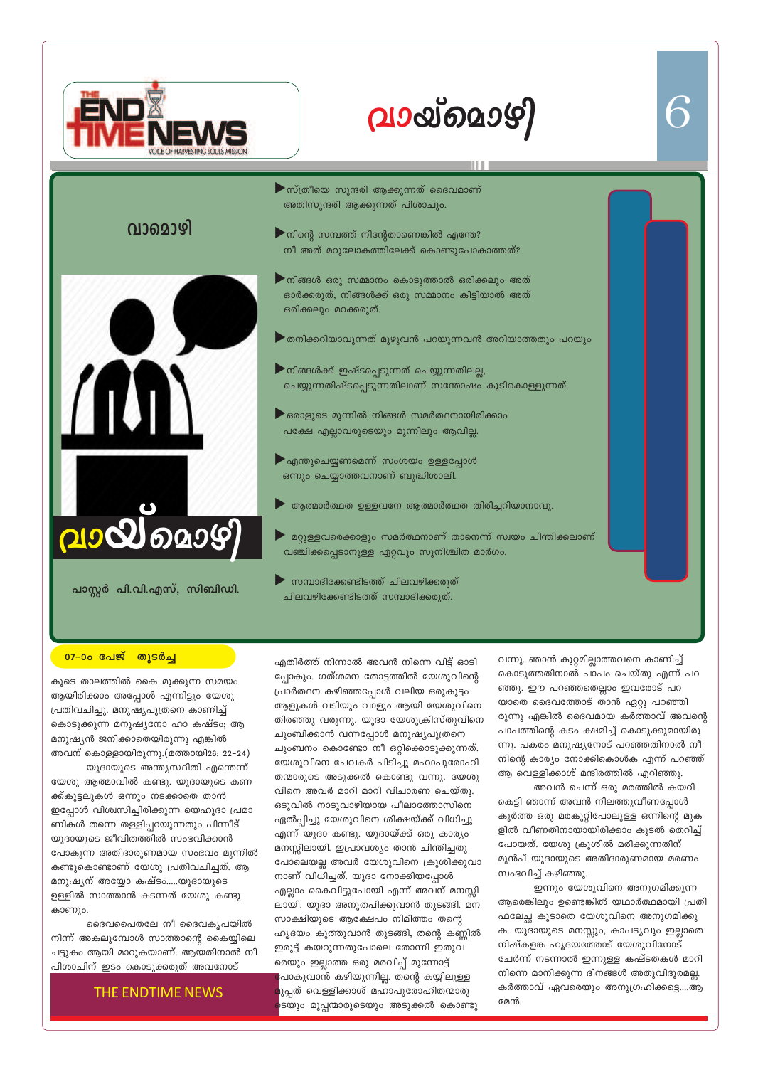# വായ്മൊഴി



വാമൊഴി

#### $\blacktriangleright$  സ്ത്രീയെ സുന്ദരി ആക്കുന്നത് ദൈവമാണ് അതിസുന്ദരി ആക്കുന്നത് പിശാചും.

- $\blacktriangleright$ നിന്റെ സമ്പത്ത് നിന്റേതാണെങ്കിൽ എന്തേ? നീ അത് മറുലോകത്തിലേക്ക് കൊണ്ടുപോകാത്തത്?
- $\blacktriangleright$ നിങ്ങൾ ഒരു സമ്മാനം കൊടുത്താൽ ഒരിക്കലും അത് ഓർക്കരുത്, നിങ്ങൾക്ക് ഒരു സമ്മാനം കിട്ടിയാൽ അത് ഒരിക്കലും മറക്കരുത്.
- $\blacktriangleright$ തനിക്കറിയാവുന്നത് മുഴുവൻ പറയുന്നവൻ അറിയാത്തതും പറയും
- $\blacktriangleright$ നിങ്ങൾക്ക് ഇഷ്ടപ്പെടുന്നത് ചെയ്യുന്നതിലല്ല, ചെയ്യുന്നതിഷ്ടപ്പെടുന്നതിലാണ് സന്തോഷം കുടികൊള്ളുന്നത്.
- $\blacktriangleright$ ഒരാളുടെ മുന്നിൽ നിങ്ങൾ സമർത്ഥനായിരിക്കാം പക്ഷേ എല്ലാവരുടെയും മുന്നിലും ആവില്ല.
- $\blacktriangleright$ എന്തുചെയ്യണമെന്ന് സംശയം ഉള്ളപ്പോൾ ഒന്നും ചെയ്യാത്തവനാണ് ബുദ്ധിശാലി.
- ആത്മാർത്ഥത ഉള്ളവനേ ആത്മാർത്ഥത തിരിച്ചറിയാനാവൂ.
- മറ്റുള്ളവരെക്കാളും സമർത്ഥനാണ് താനെന്ന് സ്വയം ചിന്തിക്കലാണ് വഞ്ചിക്കപ്പെടാനുള്ള ഏറ്റവും സുനിശ്ചിത മാർഗം.
- സമ്പാദിക്കേണ്ടിടത്ത് ചിലവഴിക്കരുത് ചിലവഴിക്കേണ്ടിടത്ത് സമ്പാദിക്കരുത്.

## 07–ാം പേജ് തുടർച്ച

കൂടെ താലത്തിൽ കൈ മുക്കുന്ന സമയം ആയിരിക്കാം അപ്പോൾ എന്നിട്ടും യേശു പ്രതിവചിച്ചു. മനുഷ്യപുത്രനെ കാണിച്ച് കൊടുക്കുന്ന മനുഷ്യനോ ഹാ കഷ്ടം; ആ മനുഷ്യൻ ജനിക്കാതെയിരുന്നു എങ്കിൽ അവന് കൊള്ളായിരുന്നു.(മത്തായി26: 22–24) യൂദായുടെ അന്ത്യസ്ഥിതി എന്തെന്ന് യേശു ആത്മാവിൽ കണ്ടു. യൂദായുടെ കണ ക്ക്കൂട്ടലുകൾ ഒന്നും നടക്കാതെ താൻ ഇപ്പോൾ വിശ്വസിച്ചിരിക്കുന്ന യെഹൂദാ പ്രമാ ണികൾ തന്നെ തള്ളിപ്പറയുന്നതും പിന്നീട്

2100002097

പാസ്റ്റർ പി.വി.എസ്, സിബിഡി.

യൂദായുടെ ജീവിതത്തിൽ സംഭവിക്കാൻ പോകുന്ന അതിദാരുണമായ സംഭവം മുന്നിൽ കണ്ടുകൊണ്ടാണ് യേശു പ്രതിവചിച്ചത്. ആ മനുഷ്യന് അയ്യോ കഷ്ടം.....യൂദായുടെ ഉള്ളിൽ സാത്താൻ കടന്നത് യേശു കണ്ടു കാണും.

ദൈവപൈതലേ നീ ദൈവകൃപയിൽ നിന്ന് അകലുമ്പോൾ സാത്താന്റെ കൈയ്യിലെ ചട്ടുകം ആയി മാറുകയാണ്. ആയതിനാൽ നീ പിശാചിന് ഇടം കൊടുക്കരുത് അവനോട്

#### THE ENDTIME NEWS

എതിർത്ത് നിന്നാൽ അവൻ നിന്നെ വിട്ട് ഓടി പ്പോകും. ഗത്ശമന തോട്ടത്തിൽ യേശുവിന്റെ പ്രാർത്ഥന കഴിഞ്ഞപ്പോൾ വലിയ ഒരുകൂട്ടം ആളുകൾ വടിയും വാളും ആയി യേശുവിനെ തിരഞ്ഞു വരുന്നു. യൂദാ യേശുക്രിസ്തുവിനെ ചുംബിക്കാൻ വന്നപ്പോൾ മനുഷ്യപുത്രനെ ചുംബനം കൊണ്ടോ നീ ഒറ്റിക്കൊടുക്കുന്നത്. യേശുവിനെ ചേവകർ പിടിച്ചു മഹാപുരോഹി തന്മാരുടെ അടുക്കൽ കൊണ്ടു വന്നു. യേശു വിനെ അവർ മാറി മാറി വിചാരണ ചെയ്തു. ഒടുവിൽ നാടുവാഴിയായ പീലാത്തോസിനെ ഏൽപ്പിച്ചു യേശുവിനെ ശിക്ഷയ്ക്ക് വിധിച്ചു എന്ന് യൂദാ കണ്ടു. യൂദായ്ക്ക് ഒരു കാര്യം മനസ്സിലായി. ഇപ്രാവശ്യം താൻ ചിന്തിച്ചതു പോലെയല്ല അവർ യേശുവിനെ ക്രൂശിക്കുവാ നാണ് വിധിച്ചത്. യൂദാ നോക്കിയപ്പോൾ എല്ലാം കൈവിട്ടുപോയി എന്ന് അവന് മനസ്സി ലായി. യുദാ അനുതപിക്കുവാൻ തുടങ്ങി. മന സാക്ഷിയുടെ ആക്ഷേപം നിമിത്തം തന്റെ ഹൃദയം കുത്തുവാൻ തുടങ്ങി, തന്റെ കണ്ണിൽ ഇരുട്ട് കയറുന്നതുപോലെ തോന്നി ഇതുവ രെയും ഇല്ലാത്ത ഒരു മരവിപ്പ് മുന്നോട്ട് ∤പാകുവാൻ കഴിയുന്നില്ല. തന്റെ കയ്യിലുള്ള മുപ്പത് വെള്ളിക്കാശ് മഹാപുരോഹിതന്മാരു )ടയും മൂപ്പന്മാരുടെയും അടുക്കൽ കൊണ്ടു

വന്നു. ഞാൻ കുറ്റമില്ലാത്തവനെ കാണിച്ച് കൊടുത്തതിനാൽ പാപം ചെയ്തു എന്ന് പറ ഞ്ഞു. ഈ പറഞ്ഞതെല്ലാം ഇവരോട് പറ യാതെ ദൈവത്തോട് താൻ ഏറ്റു പറഞ്ഞി രുന്നു എങ്കിൽ ദൈവമായ കർത്താവ് അവന്റെ പാപത്തിന്റെ കടം ക്ഷമിച്ച് കൊടുക്കുമായിരു ന്നു. പകരം മനുഷ്യനോട് പറഞ്ഞതിനാൽ നീ നിന്റെ കാര്യം നോക്കികൊൾക എന്ന് പറഞ്ഞ് ആ വെള്ളിക്കാശ് മന്ദിരത്തിൽ എറിഞ്ഞു.

അവൻ ചെന്ന് ഒരു മരത്തിൽ കയറി കെട്ടി ഞാന്ന് അവൻ നിലത്തുവീണപ്പോൾ കൂർത്ത ഒരു മരകുറ്റിപോലുള്ള ഒന്നിന്റെ മുക ളിൽ വീണതിനായായിരിക്കാം കുടൽ തെറിച്ച് പോയത്. യേശു ക്രൂശിൽ മരിക്കുന്നതിന് മുൻപ് യൂദായുടെ അതിദാരുണമായ മരണം സംഭവിച്ച് കഴിഞ്ഞു.

ഇന്നും യേശുവിനെ അനുഗമിക്കുന്ന ആരെങ്കിലും ഉണ്ടെങ്കിൽ യഥാർത്ഥമായി പ്രതി ഫലേച്ഛ കൂടാതെ യേശുവിനെ അനുഗമിക്കു ക. യൂദായുടെ മനസ്സും, കാപട്യവും ഇല്ലാതെ നിഷ്കളങ്ക ഹൃദയത്തോട് യേശുവിനോട് ചേർന്ന് നടന്നാൽ ഇന്നുള്ള കഷ്ടതകൾ മാറി നിന്നെ മാനിക്കുന്ന ദിനങ്ങൾ അതുവിദൂരമല്ല. കർത്താവ് ഏവരെയും അനുഗ്രഹിക്കട്ടെ....ആ മേൻ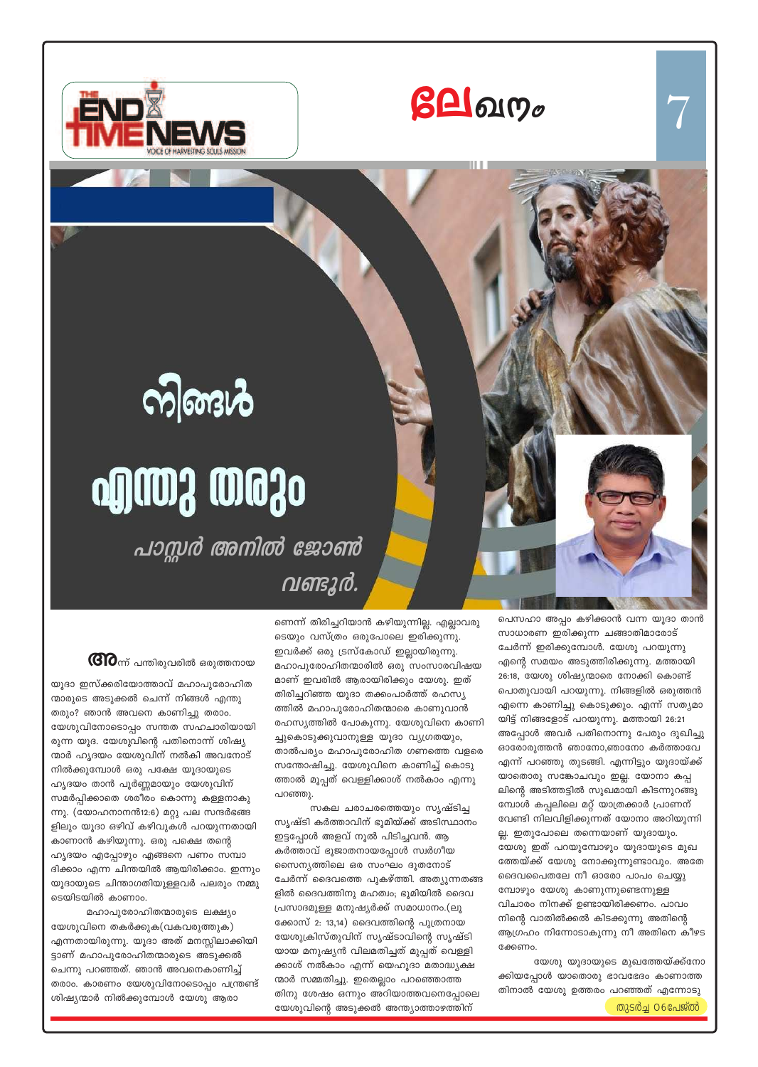





# **ofings west**

പാസ്സർ അനിൽ ജോൺ വണ്ടുർ.

 ${\bf G}$ ി $\sigma$ ന്ന് പന്തിരുവരിൽ ഒരുത്തനായ

യൂദാ ഇസ്ക്കരിയോത്താവ് മഹാപുരോഹിത ന്മാരുടെ അടുക്കൽ ചെന്ന് നിങ്ങൾ എന്തു തരും? ഞാൻ അവനെ കാണിച്ചു തരാം. യേശുവിനോടൊപ്പം സന്തത സഹചാരിയായി രുന്ന യൂദ. യേശുവിന്റെ പതിനൊന്ന് ശിഷ്യ ന്മാർ ഹ്യദയം യേശുവിന് നൽകി അവനോട് നിൽക്കുമ്പോൾ ഒരു പക്ഷേ യൂദായുടെ ഹൃദയം താൻ പൂർണ്ണമായും യേശുവിന് സമർപ്പിക്കാതെ ശരീരം കൊന്നു കള്ളനാകു ന്നു. (യോഹനാനൻ12:6) മറ്റു പല സന്ദർഭങ്ങ ളിലും യൂദാ ഒഴിവ് കഴിവുകൾ പറയുന്നതായി കാണാൻ കഴിയുന്നു. ഒരു പക്ഷെ തന്റെ ഹൃദയം എപ്പോഴും എങ്ങനെ പണം സമ്പാ ദിക്കാം എന്ന ചിന്തയിൽ ആയിരിക്കാം. ഇന്നും യൂദായുടെ ചിന്താഗതിയുള്ളവർ പലരും നമ്മു ടെയിടയിൽ കാണാം.

മഹാപുരോഹിതന്മാരുടെ ലക്ഷ്യം യേശുവിനെ തകർക്കുക(വകവരുത്തുക) എന്നതായിരുന്നു. യൂദാ അത് മനസ്സിലാക്കിയി ട്ടാണ് മഹാപുരോഹിതന്മാരുടെ അടുക്കൽ ചെന്നു പറഞ്ഞത്. ഞാൻ അവനെകാണിച്ച് തരാം. കാരണം യേശുവിനോടൊപ്പം പന്ത്രണ്ട് ശിഷ്യന്മാർ നിൽക്കുമ്പോൾ യേശു ആരാ

ണെന്ന് തിരിച്ചറിയാൻ കഴിയുന്നില്ല. എല്ലാവരു ടെയും വസ്ത്രം ഒരുപോലെ ഇരിക്കുന്നു. ഇവർക്ക് ഒരു ട്രസ്കോഡ് ഇല്ലായിരുന്നു. മഹാപുരോഹിതന്മാരിൽ ഒരു സംസാരവിഷയ മാണ് ഇവരിൽ ആരായിരിക്കും യേശു. ഇത് തിരിച്ചറിഞ്ഞ യൂദാ തക്കംപാർത്ത് രഹസ്യ ത്തിൽ മഹാപുരോഹിതന്മാരെ കാണുവാൻ രഹസ്യത്തിൽ പോകുന്നു. യേശുവിനെ കാണി ച്ചുകൊടുക്കുവാനുള്ള യൂദാ വ്യഗ്രതയും, താൽപര്യം മഹാപുരോഹിത ഗണത്തെ വളരെ സന്തോഷിച്ചു. യേശുവിനെ കാണിച്ച് കൊടു ത്താൽ മൂപ്പത് വെള്ളിക്കാശ് നൽകാം എന്നു പറഞ്ഞു.

സകല ചരാചരത്തെയും സൃഷ്ടിച്ച സൃഷ്ടി കർത്താവിന് ഭൂമിയ്ക്ക് അടിസ്ഥാനം ഇട്ടപ്പോൾ അളവ് നൂൽ പിടിച്ചവൻ. ആ കർത്താവ് ഭൂജാതനായപ്പോൾ സ്വർഗീയ സൈന്യത്തിലെ ഒര സംഘം ദൂതനോട് ചേർന്ന് ദൈവത്തെ പുകഴ്ത്തി. അത്യുന്നതങ്ങ ളിൽ ദൈവത്തിനു മഹത്വം; ഭൂമിയിൽ ദൈവ പ്രസാദമുള്ള മനുഷ്യർക്ക് സമാധാനം.(ലൂ ക്കോസ് 2: 13,14) ദൈവത്തിന്റെ പുത്രനായ യേശുക്രിസ്തുവിന് സൃഷ്ടാവിന്റെ സൃഷ്ടി യായ മനുഷ്യൻ വിലമതിച്ചത് മുപ്പത് വെള്ളി ക്കാശ് നൽകാം എന്ന് യെഹൂദാ മതാദ്ധ്യക്ഷ ന്മാർ സമ്മതിച്ചു. ഇതെല്ലാം പറഞ്ഞൊത്ത തിനു ശേഷം ഒന്നും അറിയാത്തവനെപ്പോലെ യേശുവിന്റെ അടുക്കൽ അന്ത്യാത്താഴത്തിന്

പെസഹാ അപ്പം കഴിക്കാൻ വന്ന യൂദാ താൻ സാധാരണ ഇരിക്കുന്ന ചങ്ങാതിമാരോട് ചേർന്ന് ഇരിക്കുമ്പോൾ. യേശു പറയുന്നു എന്റെ സമയം അടുത്തിരിക്കുന്നു. മത്തായി 26:18, യേശു ശിഷ്യന്മാരെ നോക്കി കൊണ്ട് പൊതുവായി പറയുന്നു. നിങ്ങളിൽ ഒരുത്തൻ എന്നെ കാണിച്ചു കൊടുക്കും. എന്ന് സത്യമാ യിട്ട് നിങ്ങളോട് പറയുന്നു. മത്തായി 26:21 അപ്പോൾ അവർ പതിനൊന്നു പേരും ദുഖിച്ചു ഓരോരുത്തൻ ഞാനോ,ഞാനോ കർത്താവേ എന്ന് പറഞ്ഞു തുടങ്ങി. എന്നിട്ടും യൂദായ്ക്ക് യാതൊരു സങ്കോചവും ഇല്ല. യോനാ കപ്പ ലിന്റെ അടിത്തട്ടിൽ സുഖമായി കിടന്നുറങ്ങു മ്പോൾ കപ്പലിലെ മറ്റ് യാത്രക്കാർ പ്രാണന് വേണ്ടി നിലവിളിക്കുന്നത് യോനാ അറിയുന്നി ല്ല. ഇതുപോലെ തന്നെയാണ് യൂദായും. യേശു ഇത് പറയുമ്പോഴും യൂദായുടെ മുഖ ത്തേയ്ക്ക് യേശു നോക്കുന്നുണ്ടാവും. അതേ ദൈവപൈതലേ നീ ഓരോ പാപം ചെയ്യു മ്പോഴും യേശു കാണുന്നുണ്ടെന്നുള്ള വിചാരം നിനക്ക് ഉണ്ടായിരിക്കണം. പാവം നിന്റെ വാതിൽക്കൽ കിടക്കുന്നു അതിന്റെ ആഗ്രഹം നിന്നോടാകുന്നു നീ അതിനെ കീഴട ക്കേണം.

യേശു യൂദായുടെ മുഖത്തേയ്ക്ക്നോ ക്കിയപ്പോൾ യാതൊരു ഭാവഭേദം കാണാത്ത തിനാൽ യേശു ഉത്തരം പറഞ്ഞത് എന്നോടു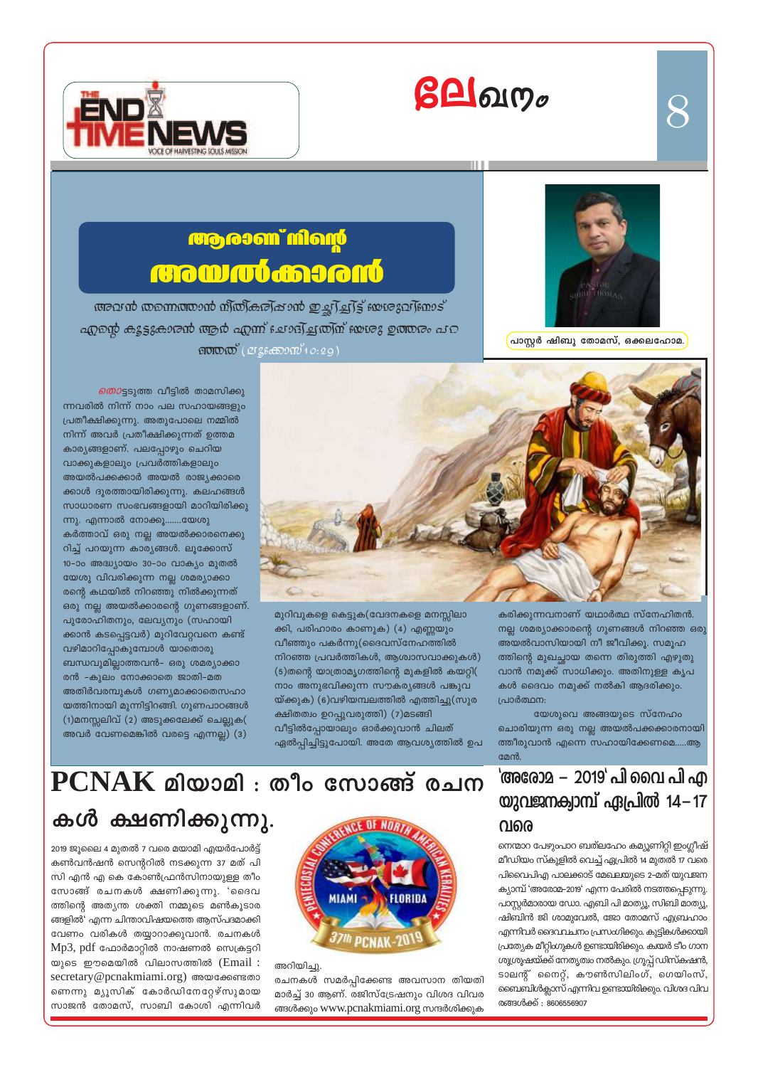# $\beta\square$ வர $_\sigma$





 $\bm{\mathcal{S}}$ 

പാസ്റ്റർ ഷിബു തോമസ്, ഒക്കലഹോമ.

## **ரூலள**் மிவழி **GROW CU CORONO**

അവൻ തന്നെത്താൻ ന്ത്രികരിപ്പാൻ ഇച്ഛിച്ചിട്ട് ഞ്ജേവിണാട് എന്റെ കൂട്ടുകാരൻ ആർ എന്ന് ചോദ്യ്ച്ചത്യി്ന് യേശു ഉത്തരം പറ  $\mathfrak{so}(\mathfrak{O}) \times \mathfrak{so}^2(2^7 \mathfrak{so}(\mathfrak{O}) \times 2 \mathfrak{so}^2)$ 



മുറിവുകളെ കെട്ടുക(വേദനകളെ മനസ്സിലാ ക്കി, പരിഹാരം കാണുക) (4) എണ്ണയും വീഞ്ഞും പകർന്നു(ദൈവസ്നേഹത്തിൽ നിറഞ്ഞ പ്രവർത്തികൾ, ആശ്വാസവാക്കുകൾ) (5)തന്റെ യാത്രാമൃഗത്തിന്റെ മുകളിൽ കയറ്റി( നാം അനുഭവിക്കുന്ന സൗകര്യങ്ങൾ പങ്കുവ യ്ക്കുക) (6)വഴിയമ്പലത്തിൽ എത്തിച്ചു(സുര ക്ഷിതത്വം ഉറപ്പുവരുത്തി) (7)മടങ്ങി വീട്ടിൽപ്പോയാലും ഓർക്കുവാൻ ചിലത് ഏൽപ്പിച്ചിട്ടുപോയി. അതേ ആവശ്യത്തിൽ ഉപ

ന്നവരിൽ നിന്ന് നാം പല സഹായങ്ങളും പ്രതീക്ഷിക്കുന്നു. അതുപോലെ നമ്മിൽ നിന്ന് അവർ പ്രതീക്ഷിക്കുന്നത് ഉത്തമ കാര്യങ്ങളാണ്. പലപ്പോഴും ചെറിയ വാക്കുകളാലും പ്രവർത്തികളാലും അയൽപക്കക്കാർ അയൽ രാജ്യക്കാരെ ക്കാൾ ദൂരത്തായിരിക്കുന്നു. കലഹങ്ങൾ സാധാരണ സംഭവങ്ങളായി മാറിയിരിക്കു ന്നു. എന്നാൽ നോക്കൂ…….യേശു കർത്താവ് ഒരു നല്ല അയൽക്കാരനെക്കു റിച്ച് പറയുന്ന കാര്യങ്ങൾ. ലൂക്കോസ് 10-ാം അദ്ധ്യായം 30-ാം വാക്യം മുതൽ യേശു വിവരിക്കുന്ന നല്ല ശമര്യാക്കാ രന്റെ കഥയിൽ നിറഞ്ഞു നിൽക്കുന്നത് ഒരു നല്ല അയൽക്കാരന്റെ ഗുണങ്ങളാണ്. പുരോഹിതനും, ലേവ്യനും (സഹായി ക്കാൻ കടപ്പെട്ടവർ) മുറിവേറ്റവനെ കണ്ട് വഴിമാറിപ്പോകുമ്പോൾ യാതൊരു ബന്ധവുമില്ലാത്തവൻ– ഒരു ശമര്യാക്കാ രൻ -കുലം നോക്കാതെ ജാതി-മത അതിർവരമ്പുകൾ ഗണ്യമാക്കാതെസഹാ യത്തിനായി മുന്നിട്ടിറങ്ങി. ഗുണപാഠങ്ങൾ (1)മനസ്സലിവ് (2) അടുക്കലേക്ക് ചെല്ലുക( അവർ വേണമെങ്കിൽ വരട്ടെ എന്നല്ല) (3)

*തൊ*ട്ടടുത്ത വീട്ടിൽ താമസിക്കു

കരിക്കുന്നവനാണ് യഥാർത്ഥ സ്നേഹിതൻ. നല്ല ശമര്യാക്കാരന്റെ ഗുണങ്ങൾ നിറഞ്ഞ ഒരു അയൽവാസിയായി നീ ജീവിക്കൂ. സമൂഹ ത്തിന്റെ മുഖച്ഛായ തന്നെ തിരുത്തി എഴുതു വാൻ നമുക്ക് സാധിക്കും. അതിനുള്ള കൃപ കൾ ദൈവം നമുക്ക് നൽകി ആദരിക്കും. പ്രാർത്ഥന:

യേശുവെ അങ്ങയുടെ സ്നേഹം ചൊരിയുന്ന ഒരു നല്ല അയൽപക്കക്കാരനായി ത്തീരുവാൻ എന്നെ സഹായിക്കേണമെ.....ആ മേൻ.

### 'അരോമ – 2019' പി വൈ പി എ യുവജനക്വാമ്പ് ഏപ്രിൽ  $14 - 17$ വരെ

നെന്മാറ പേഴുപാറ ബത്ലഹേം കമ്യൂണിറ്റി ഇംഗ്ലീഷ് മീഡിയം സ്കൂളിൽ വെച്ച് ഏപ്രിൽ 14 മുതൽ 17 വരെ പിവൈപിഎ പാലക്കാട് മേഖലയുടെ 2-മത് യുവജന ക്യാമ്പ് 'അരോമ–2019' എന്ന പേരിൽ നടത്തപ്പെടുന്നു. പാസ്റ്റർമാരായ ഡോ. എബി പി മാത്യൂ, സിബി മാത്യൂ, ഷിബിൻ ജി ശാമുവേൽ, ജോ തോമസ് എബ്രഹാം എന്നിവർ ദൈവവചനം പ്രസംഗിക്കും. കുട്ടികൾക്കായി പ്രത്യേക മീറ്റിംഗുകൾ ഉണ്ടായിരിക്കും. ക്വയർ ടീം ഗാന ശുശ്രൂഷയ്ക്ക് നേതൃത്വം നൽകും. ഗ്രൂപ്പ് ഡിസ്കഷൻ, ടാലന്റ് നൈറ്റ്, കൗൺസിലിംഗ്, ഗെയിംസ്, ബൈബിൾക്ലാസ് എന്നിവ ഉണ്ടായിരിക്കും. വിശദ വിവ രങ്ങൾക്ക് : 8606556907

## $PCNAK$  മിയാമി: തീം സോങ്ങ് രചന

## കൾ ക്ഷണിക്കുന്നു.

2019 ജുലൈ 4 മുതൽ 7 വരെ മയാമി എയർപോർട്ട് കൺവൻഷൻ സെന്ററിൽ നടക്കുന്ന 37 മത് പി സി എൻ എ കെ കോൺഫ്രൻസിനായുള്ള തീം സോങ്ങ് രചനകൾ ക്ഷണിക്കുന്നു. 'ദൈവ ത്തിന്റെ അത്യന്ത ശക്തി നമ്മുടെ മൺകൂടാര ങ്ങളിൽ' എന്ന ചിന്താവിഷയത്തെ ആസ്പദമാക്കി വേണം വരികൾ തയ്യാറാക്കുവാൻ. രചനകൾ Mp3, pdf ഫോർമാറ്റിൽ നാഷണൽ സെക്രട്ടറി യുടെ ഈമെയിൽ വിലാസത്തിൽ (Email : secretary@pcnakmiami.org) അയക്കേണ്ടതാ ണെന്നു മ്യൂസിക് കോർഡിനേറ്റേഴ്സുമായ സാജൻ തോമസ്, സാബി കോശി എന്നിവർ



അറിയിച്ചു. രചനകൾ സമർപ്പിക്കേണ്ട അവസാന തിയതി മാർച്ച് 30 ആണ്. രജിസ്ട്രേഷനും വിശദ വിവര ങ്ങൾക്കും www.pcnakmiami.org സന്ദർശിക്കുക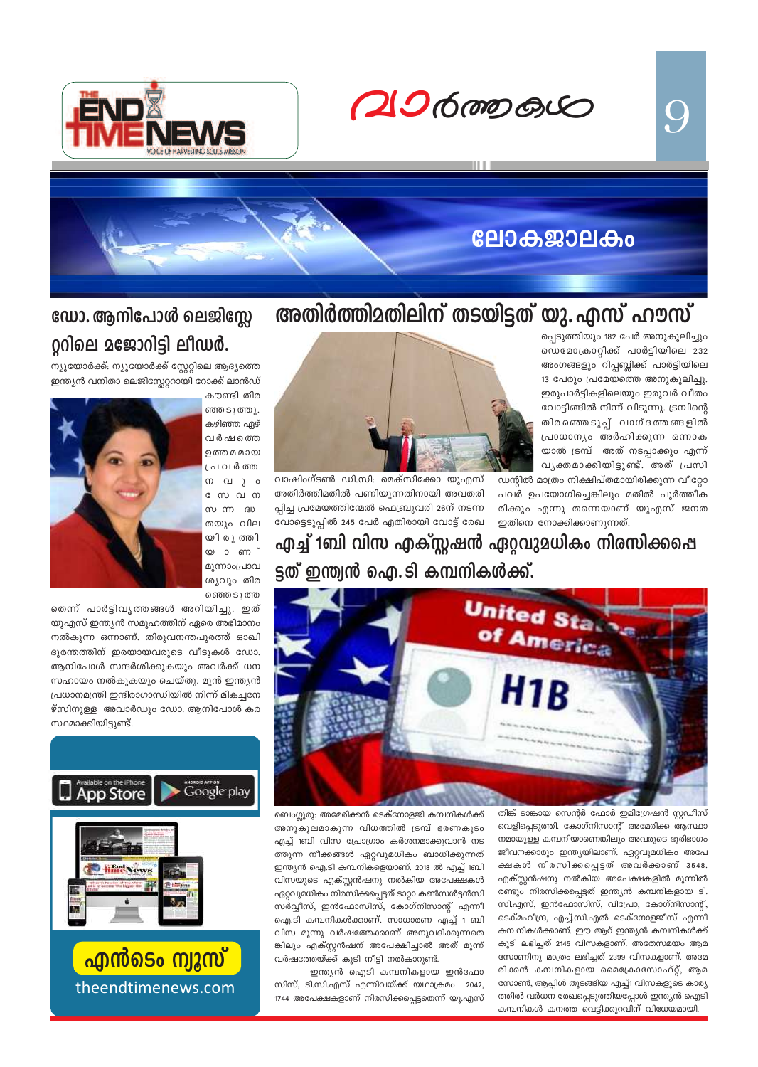9

 $206$  mp  $60$ 



## **ലോകജാലകം**

## അതിർത്തിമതിലിന് തടയിട്ടത് യു. എസ് ഹൗസ്

പ്പെടുത്തിയും 182 പേർ അനുകൂലിച്ചും ഡെമോക്രാറ്റിക്ക് പാർട്ടിയിലെ 232 അംഗങ്ങളും റിപ്പബ്ലിക്ക് പാർട്ടിയിലെ 13 പേരും പ്രമേയത്തെ അനുകൂലിച്ചു. ഇരുപാർട്ടികളിലെയും ഇരുവർ വീതം വോട്ടിങ്ങിൽ നിന്ന് വിടുന്നു. ട്രമ്പിന്റെ തിരഞ്ഞെടുപ്പ് വാഗ്ദത്തങ്ങളിൽ പ്രാധാന്യം അർഹിക്കുന്ന ഒന്നാക യാൽ ട്രമ്പ് അത് നടപ്പാക്കും എന്ന് വൃക്തമാക്കിയിട്ടുണ്ട്. അത് പ്രസി ഡന്റിൽ മാത്രം നിക്ഷിപ്തമായിരിക്കുന്ന വീറ്റോ

പവർ ഉപയോഗിച്ചെങ്കിലും മതിൽ പൂർത്തീക രിക്കും എന്നു തന്നെയാണ് യുഎസ് ജനത ഇതിനെ നോക്കിക്കാണുന്നത്.



വാഷിംഗ്ടൺ ഡി.സി. മെക്സിക്കോ യുഎസ് അതിർത്തിമതിൽ പണിയുന്നതിനായി അവതരി പിച്ച പ്രമേയത്തിന്മേൽ ഫെബ്രുവരി 26ന് നടന്ന വോട്ടെടുപ്പിൽ 245 പേർ എതിരായി വോട്ട് രേഖ

എച്ച് 1ബി വിസ എക്സ്റ്റഷൻ ഏറ്റവുമധികം നിരസിക്കപ്പെ ട്ടത് ഇന്ത്വൻ ഐ.ടി കമ്പനികൾക്ക്.



തിങ്ക് ടാങ്കായ സെന്റർ ഫോർ ഇമിഗ്രേഷൻ സ്റ്റഡീസ് വെളിപ്പെടുത്തി. കോഗ്നിസാന്റ് അമേരിക്ക ആസ്ഥാ നമായുള്ള കമ്പനിയാണെങ്കിലും അവരുടെ ഭൂരിഭാഗം ജീവനക്കാരും ഇന്ത്യയിലാണ്. ഏറ്റവുമധികം അപേ ക്ഷകൾ നിരസിക്കപ്പെട്ടത് അവർക്കാണ് 3548. എക്സ്റ്റൻഷനു നൽകിയ അപേക്ഷകളിൽ മൂന്നിൽ രണ്ടും നിരസിക്കപ്പെട്ടത് ഇന്ത്യൻ കമ്പനികളായ ടി. സി.എസ്, ഇൻഫോസിസ്, വിപ്രോ, കോഗ്നിസാന്റ്, ടെക്മഹീന്ദ്ര, എച്ച്.സി.എൽ ടെക്നോളജീസ് എന്നീ കമ്പനികൾക്കാണ്. ഈ ആറ് ഇന്ത്യൻ കമ്പനികൾക്ക് കൂടി ലഭിച്ചത് 2145 വിസകളാണ്. അതേസമയം ആമ സോണിനു മാത്രം ലഭിച്ചത് 2399 വിസകളാണ്. അമേ രിക്കൻ കമ്പനികളായ മൈക്രോസോഫ്റ്റ്, ആമ സോൺ, ആപ്പിൾ തുടങ്ങിയ എച്ച്1 വിസകളുടെ കാര്യ ത്തിൽ വർധന രേഖപ്പെടുത്തിയപ്പോൾ ഇന്ത്യൻ ഐടി കമ്പനികൾ കനത്ത വെട്ടിക്കുറവിന് വിധേയമായി.

ബെംഗ്ലൂരു: അമേരിക്കൻ ടെക്നോളജി കമ്പനികൾക്ക<mark>്</mark> അനുകൂലമാകുന്ന വിധത്തിൽ ട്രമ്പ് ഭരണകൂടം എച്ച് 1ബി വിസ പ്രോഗ്രാം കർശനമാക്കുവാൻ നട ത്തുന്ന നീക്കങ്ങൾ ഏറ്റവുമധികം ബാധിക്കുന്നത് ഇന്ത്യൻ ഐ.ടി കമ്പനികളെയാണ്. 2018 ൽ എച്ച് 1ബി വിസയുടെ എക്സ്റ്റൻഷനു നൽകിയ അപേക്ഷകൾ ഏറ്റവുമധികം നിരസിക്കപ്പെട്ടത് ടാറ്റാ കൺസൾട്ടൻസി സർവ്വീസ്, ഇൻഫോസിസ്, കോഗ്നിസാന്റ് എന്നീ ഐ.ടി കമ്പനികൾക്കാണ്. സാധാരണ എച്ച് 1 ബി വിസ മൂന്നു വർഷത്തേക്കാണ് അനുവദിക്കുന്നതെ ങ്കിലും എക്സ്റ്റൻഷന് അപേക്ഷിച്ചാൽ അത് മൂന്ന് വർഷത്തേയ്ക്ക് കുടി നീട്ടി നൽകാറുണ്ട്.

ഇന്ത്യൻ ഐടി കമ്പനികളായ ഇൻഫോ സിസ്, ടി.സി.എസ് എന്നിവയ്ക്ക് യഥാക്രമം 2042, 1744 അപേക്ഷകളാണ് നിരസിക്കപ്പെട്ടതെന്ന് യു.എസ<mark>്</mark>

## ഡോ. ആനിപോൾ ലെജിസ്ലേ റ്ററിലെ മജോറിട്ടി ലീഡർ.

ന്യൂയോർക്ക്: ന്യൂയോർക്ക് സ്റ്റേറ്റിലെ ആദ്യത്തെ ഇന്ത്യൻ വനിതാ ലെജിസ്ലേറ്ററായി റോക്ക് ലാൻഡ്



തെന്ന് പാർട്ടിവൃത്തങ്ങൾ അറിയിച്ചു. ഇത് യുഎസ് ഇന്ത്യൻ സമൂഹത്തിന് ഏരെ അഭിമാനം നൽകുന്ന ഒന്നാണ്. തിരുവനന്തപുരത്ത് ഓഖി ദുരന്തത്തിന് ഇരയായവരുടെ വീടുകൾ ഡോ. ആനിപോൾ സന്ദർശിക്കുകയും അവർക്ക് ധന സഹായം നൽകുകയും ചെയ്തു. മുൻ ഇന്ത്യൻ പ്രധാനമന്ത്രി ഇന്ദിരാഗാന്ധിയിൽ നിന്ന് മികച്ചനേ ഴ്സിനുള്ള അവാർഡും ഡോ. ആനിപോൾ കര സ്ഥമാക്കിയിട്ടുണ്ട്.





<mark>എൻടെം ന്വുസ്</mark> theendtimenews.com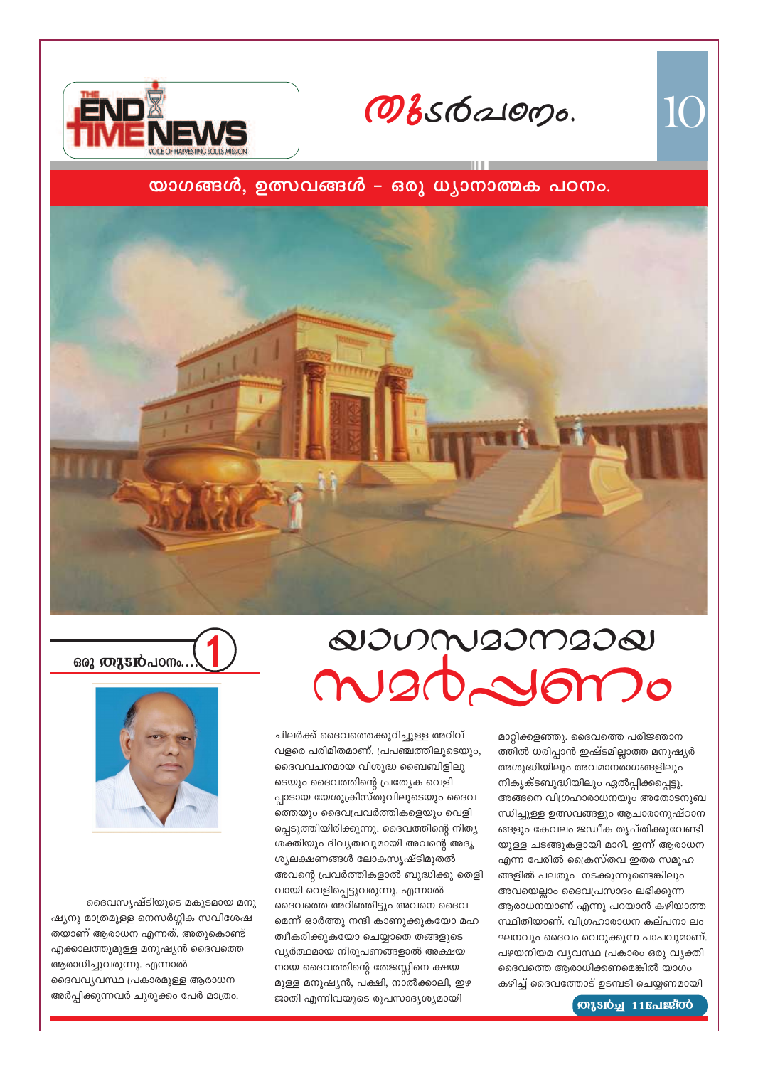#### ദൈവസൃഷ്ടിയുടെ മകുടമായ മനു ഷ്യനു മാത്രമുള്ള നെസർഗ്ഗിക സവിശേഷ തയാണ് ആരാധന എന്നത്. അതുകൊണ്ട് എക്കാലത്തുമുള്ള മനുഷ്യൻ ദൈവത്തെ ആരാധിച്ചുവരുന്നു. എന്നാൽ ദൈവവ്യവസ്ഥ പ്രകാരമുള്ള ആരാധന അർപ്പിക്കുന്നവർ ചുരുക്കം പേർ മാത്രം.

ഒരു **തുടൻ**പഠനം.

ചിലർക്ക് ദൈവത്തെക്കുറിച്ചുള്ള അറിവ് വളരെ പരിമിതമാണ്. പ്രപഞ്ചത്തിലൂടെയും, ദൈവവചനമായ വിശുദ്ധ ബൈബിളിലൂ ടെയും ദൈവത്തിന്റെ പ്രത്യേക വെളി പ്പാടായ യേശുക്രിസ്തുവിലൂടെയും ദൈവ ത്തെയും ദൈവപ്രവർത്തികളെയും വെളി പ്പെടുത്തിയിരിക്കുന്നു. ദൈവത്തിന്റെ നിത്യ ശക്തിയും ദിവ്യത്വവുമായി അവന്റെ അദൃ ശ്യലക്ഷണങ്ങൾ ലോകസൃഷ്ടിമുതൽ അവന്റെ പ്രവർത്തികളാൽ ബുദ്ധിക്കു ത<mark>െ</mark>ളി വായി വെളിപ്പെട്ടുവരുന്നു. എന്നാൽ ദൈവത്തെ അറിഞ്ഞിട്ടും അവനെ ദൈവ മെന്ന് ഓർത്തു നന്ദി കാണുക്കുകയോ മഹ ത്വീകരിക്കുകയോ ചെയ്യാതെ തങ്ങളുടെ വ്യർത്ഥമായ നിരൂപണങ്ങളാൽ അക്ഷയ നായ ദൈവത്തിന്റെ തേജസ്സിനെ ക്ഷയ മുള്ള മനുഷ്യൻ, പക്ഷി, നാൽക്കാലി, ഇഴ ജാതി എന്നിവയുടെ രൂപസാദൃശ്യമായി

 $\omega$ JUMIJMIJ $\omega$ maddom.







10

#### (ரைப்பி 11 பேஜீஸ்

മാറ്റിക്കളഞ്ഞു. ദൈവത്തെ പരിജ്ഞാന

അശുദ്ധിയിലും അവമാനരാഗങ്ങളിലും

നികൃക്ടബുദ്ധിയിലും ഏൽപ്പിക്കപ്പെട്ടു.

ത്തിൽ ധരിപ്പാൻ ഇഷ്ടമില്ലാത്ത മനുഷ്യർ

അങ്ങനെ വിഗ്രഹാരാധനയും അതോടനുബ

ന്ധിച്ചുള്ള ഉത്സവങ്ങളും ആചാരാനുഷ്ഠാന

ങ്ങളും കേവലം ജഡീക തൃപ്തിക്കുവേണ്ടി

യുള്ള ചടങ്ങുകളായി മാറി. ഇന്ന് ആരാധന

എന്ന പേരിൽ ക്രൈസ്തവ ഇതര സമൂഹ

ങ്ങളിൽ പലതും നടക്കുന്നുണ്ടെങ്കിലും

അവയെല്ലാം ദൈവപ്രസാദം ലഭിക്കുന്ന

ആരാധനയാണ് എന്നു പറയാൻ കഴിയാത്ത

സ്ഥിതിയാണ്. വിഗ്രഹാരാധന കല്പനാ ലം

ഘനവും ദൈവം വെറുക്കുന്ന പാപവുമാണ്.

പഴയനിയമ വ്യവസ്ഥ പ്രകാരം ഒരു വ്യക്തി

കഴിച്ച് ദൈവത്തോട് ഉടമ്പടി ചെയ്യണമായി

ദൈവത്തെ ആരാധിക്കണമെങ്കിൽ യാഗം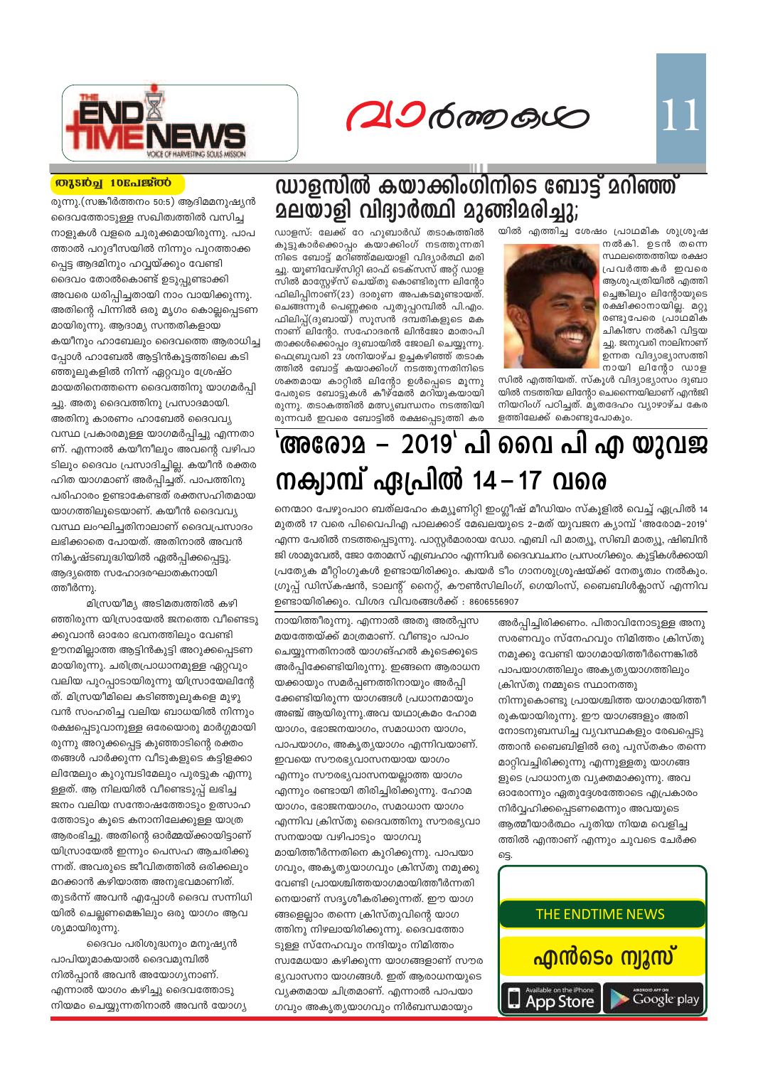$206$  mp  $60$ 



#### **MASIQH 10Enlestod**

രുന്നു.(സങ്കീർത്തനം 50:5) ആദിമമനുഷ്യൻ ദൈവത്തോടുള്ള സഖിത്വത്തിൽ വസിച്ച നാളുകൾ വളരെ ചുരുക്കമായിരുന്നു. പാപ ത്താൽ പറുദീസയിൽ നിന്നും പുറത്താക്ക പ്പെട്ട ആദമിനും ഹവ്വയ്ക്കും വേണ്ടി ദൈവം തോൽകൊണ്ട് ഉടുപ്പുണ്ടാക്കി അവരെ ധരിപ്പിച്ചതായി നാം വായിക്കുന്നു. അതിന്റെ പിന്നിൽ ഒരു മൃഗം കൊല്ലപ്പെടണ മായിരുന്നു. ആദാമ്യ സന്തതികളായ കയീനും ഹാബേലും ദൈവത്തെ ആരാധിച്ച പ്പോൾ ഹാബേൽ ആട്ടിൻകൂട്ടത്തിലെ കടി ഞ്ഞൂലുകളിൽ നിന്ന് ഏറ്റവും ശ്രേഷ്ഠ മായതിനെത്തന്നെ ദൈവത്തിനു യാഗമർപി ച്ചു. അതു ദൈവത്തിനു പ്രസാദമായി. അതിനു കാരണം ഹാബേൽ ദൈവവ്യ വസ്ഥ പ്രകാരമുള്ള യാഗമർപ്പിച്ചു എന്നതാ ണ്. എന്നാൽ കയീനീലും അവന്റെ വഴിപാ ടിലും ദൈവം പ്രസാദിച്ചില്ല. കയീൻ രക്തര ഹിത യാഗമാണ് അർപ്പിച്ചത്. പാപത്തിനു പരിഹാരം ഉണ്ടാകേണ്ടത് രക്തസഹിതമായ യാഗത്തിലൂടെയാണ്. കയീൻ ദൈവവ്യ വസ്ഥ ലംഘിച്ചതിനാലാണ് ദൈവപ്രസാദം ലഭിക്കാതെ പോയത്. അതിനാൽ അവൻ നികൃഷ്ടബുദ്ധിയിൽ ഏൽപ്പിക്കപ്പെട്ടു. ആദ്യത്തെ സഹോദരഘാതകനായി ത്തീർന്നു.

മിസ്രയീമ്യ അടിമത്വത്തിൽ കഴി ഞ്ഞിരുന്ന യിസ്രായേൽ ജനത്തെ വീണ്ടെടു ക്കുവാൻ ഓരോ ഭവനത്തിലും വേണ്ടി ഊനമില്ലാത്ത ആട്ടിൻകുട്ടി അറുക്കപ്പെടണ മായിരുന്നു. ചരിത്രപ്രാധാനമുള്ള ഏറ്റവും വലിയ പുറപ്പാടായിരുന്നു യിസ്രായേലിന്റേ ത്. മിസ്രയീമിലെ കടിഞ്ഞൂലുകളെ മുഴു വൻ സംഹരിച്ച വലിയ ബാധയിൽ നിന്നും രക്ഷപ്പെടുവാനുള്ള ഒരേയൊരു മാർഗ്ഗമായി രുന്നു അറുക്കപ്പെട്ട കുഞ്ഞാടിന്റെ രക്തം തങ്ങൾ പാർക്കുന്ന വീടുകളുടെ കട്ടിളക്കാ ലിന്മേലും കുറുമ്പടിമേലും പുരട്ടുക എന്നു ള്ളത്. ആ നിലയിൽ വീണ്ടെടുപ്പ് ലഭിച്ച ജനം വലിയ സന്തോഷത്തോടും ഉത്സാഹ ത്തോടും കൂടെ കനാനിലേക്കുള്ള യാത്ര ആരംഭിച്ചു. അതിന്റെ ഓർമ്മയ്ക്കായിട്ടാണ് യിസ്രായേൽ ഇന്നും പെസഹ ആചരിക്കു ന്നത്. അവരുടെ ജീവിതത്തിൽ ഒരിക്കലും മറക്കാൻ കഴിയാത്ത അനുഭവമാണിത്. തുടർന്ന് അവൻ എപ്പോൾ ദൈവ സന്നിധി യിൽ ചെല്ലണമെങ്കിലും ഒരു യാഗം ആവ ശ്യമായിരുന്നു.

ദൈവം പരിശുദ്ധനും മനുഷ്യൻ പാപിയുമാകയാൽ ദൈവമുമ്പിൽ നിൽപ്പാൻ അവൻ അയോഗ്യനാണ്. എന്നാൽ യാഗം കഴിച്ചു ദൈവത്തോടു നിയമം ചെയ്യുന്നതിനാൽ അവൻ യോഗ്യ

## ഡാളസിൽ കയാക്കിംഗിനിടെ ബോട്ട് മറിഞ്ഞ് <u> മലയാളി വിദ്വാർത്ഥി മുങ്ങിമരിച്ചു;</u>

യിൽ എത്തിച്ച ശേഷം പ്രാഥമിക ശുശ്രൂഷ

നൽകി. ഉടൻ തന്നെ സ്ഥലത്തെത്തിയ രക്ഷാ പ്രവർത്തകർ ഇവരെ ആശുപത്രിയിൽ എത്തി ച്ചെങ്കിലും ലിന്റോയുടെ രക്ഷിക്കാനായില്ല. മറ്റു രണ്ടുപേരെ പ്രാഥമിക ചികിത്സ നൽകി വിട്ടയ ച്ചു. ജനുവരി നാലിനാണ് ഉന്നത വിദ്യാഭ്യാസത്തി

നായി ലിന്റോ ഡാള



സിൽ എത്തിയത്. സ്കൂൾ വിദ്യാഭ്യാസം ദുബാ യിൽ നടത്തിയ ലിന്റോ ചെന്നൈയിലാണ് എൻജി നിയറിംഗ് പഠിച്ചത്. മൃതദേഹം വ്യാഴാഴ്ച കേര ളത്തിലേക്ക് കൊണ്ടുപോകും.

കൂട്ടുകാർക്കൊപ്പം കയാക്കിംഗ് നടത്തുന്നതി നിടെ ബോട്ട് മറിഞ്ഞ്മലയാളി വിദ്യാർത്ഥി മരി ച്ചു. യൂണിവേഴ്സിറ്റി ഓഫ് ടെക്സസ് അറ്റ് ഡാള സിൽ മാസ്റ്റേഴ്സ് ചെയ്തു കൊണ്ടിരുന്ന ലിന്റോ ഫിലിപ്പിനാണ്(23) ദാരുണ അപകടമുണ്ടായത്. ചെങ്ങന്നൂർ പെണ്ണക്കര പുതുപ്പറമ്പിൽ പി.എം. ഫിലിപ്പ്(ദുബായ്) സൂസൻ ദമ്പതികളുടെ മക നാണ് ലിന്റോ. സഹോദരൻ ലിൻജോ മാതാപി താക്കൾക്കൊപ്പം ദുബായിൽ ജോലി ചെയ്യുന്നു. ഫെബ്രുവരി 23 ശനിയാഴ്ച ഉച്ചകഴിഞ്ഞ് തടാക ത്തിൽ ബോട്ട് കയാക്കിംഗ് നടത്തുന്നതിനിടെ ശക്തമായ കാറ്റിൽ ലിന്റോ ഉൾപ്പെടെ മൂന്നു പേരുടെ ബോട്ടുകൾ കീഴ്മേൽ മറിയുകയായി രുന്നു. തടാകത്തിൽ മത്സ്യബന്ധനം നടത്തിയി രുന്നവർ ഇവരെ ബോട്ടിൽ രക്ഷപ്പെടുത്തി കര

ഡാളസ്: ലേക്ക് റേ ഹുബാർഡ് തടാകത്തിൽ

## 'അരോ**2 – 2019' പി വൈ പി എ യുവജ** നക്വാമ്പ് ഏപ്രിൽ 14 – 17 വരെ

നെന്മാറ പേഴുംപാറ ബത്ലഹേം കമ്യൂണിറ്റി ഇംഗ്ലീഷ് മീഡിയം സ്കൂളിൽ വെച്ച് ഏപ്രിൽ 14 മുതൽ 17 വരെ പിവൈപിഎ പാലക്കാട് മേഖലയുടെ 2-മത് യുവജന ക്യാമ്പ് 'അരോമ-2019' എന്ന പേരിൽ നടത്തപ്പെടുന്നു. പാസ്റ്റർമാരായ ഡോ. എബി പി മാത്യൂ, സിബി മാത്യൂ, ഷിബിൻ ജി ശാമുവേൽ, ജോ തോമസ് എബ്രഹാം എന്നിവർ ദൈവവചനം പ്രസംഗിക്കും. കുട്ടികൾക്കായി പ്രത്യേക മീറ്റിംഗുകൾ ഉണ്ടായിരിക്കും. ക്വയർ ടീം ഗാനശുശ്രൂഷയ്ക്ക് നേതൃത്വം നൽകും. ഗ്രൂപ്പ് ഡിസ്കഷൻ, ടാലന്റ് നൈറ്റ്, കൗൺസിലിംഗ്, ഗെയിംസ്, ബൈബിൾക്ലാസ് എന്നിവ ഉണ്ടായിരിക്കും. വിശദ വിവരങ്ങൾക്ക് : 8606556907

ട്ടെ.

നായിത്തീരുന്നു. എന്നാൽ അതു അൽപ്പസ മയത്തേയ്ക്ക് മാത്രമാണ്. വീണ്ടും പാപം ചെയ്യുന്നതിനാൽ യാഗങ്ഹൽ കൂടെക്കൂടെ അർപ്പിക്കേണ്ടിയിരുന്നു. ഇങ്ങനെ ആരാധന യക്കായും സമർപ്പണത്തിനായും അർപ്പി ക്കേണ്ടിയിരുന്ന യാഗങ്ങൾ പ്രധാനമായും അഞ്ച് ആയിരുന്നു.അവ യഥാക്രമം ഹോമ യാഗം, ഭോജനയാഗം, സമാധാന യാഗം, പാപയാഗം, അകൃതൃയാഗം എന്നിവയാണ്. ഇവയെ സൗരഭ്യവാസനയായ യാഗം എന്നും സൗരഭ്യവാസനയല്ലാത്ത യാഗം എന്നും രണ്ടായി തിരിച്ചിരിക്കുന്നു. ഹോമ യാഗം, ഭോജനയാഗം, സമാധാന യാഗം എന്നിവ ക്രിസ്തു ദൈവത്തിനു സൗരഭ്യവാ സനയായ വഴിപാടും യാഗവു മായിത്തീർന്നതിനെ കുറിക്കുന്നു. പാപയാ ഗവും, അകൃതൃയാഗവും ക്രിസ്തു നമുക്കു വേണ്ടി പ്രായശ്ചിത്തയാഗമായിത്തീർന്നതി നെയാണ് സദൃശീകരിക്കുന്നത്. ഈ യാഗ ങ്ങളെല്ലാം തന്നെ ക്രിസ്തുവിന്റെ യാഗ ത്തിനു നിഴലായിരിക്കുന്നു. ദൈവത്തോ ടുള്ള സ്നേഹവും നന്ദിയും നിമിത്തം സ്വമേധയാ കഴിക്കുന്ന യാഗങ്ങളാണ് സൗര ഭൃവാസനാ യാഗങ്ങൾ. ഇത് ആരാധനയുടെ വ്യക്തമായ ചിത്രമാണ്. എന്നാൽ പാപയാ ഗവും അകൃത്യയാഗവും നിർബന്ധമായും

അർപ്പിച്ചിരിക്കണം. പിതാവിനോടുള്ള അനു സരണവും സ്നേഹവും നിമിത്തം ക്രിസ്തു നമുക്കു വേണ്ടി യാഗമായിത്തീർന്നെങ്കിൽ പാപയാഗത്തിലും അകൃതൃയാഗത്തിലും ക്രിസ്തു നമ്മുടെ സ്ഥാനത്തു നിന്നുകൊണ്ടു പ്രായശ്ചിത്ത യാഗമായിത്തീ രുകയായിരുന്നു. ഈ യാഗങ്ങളും അതി നോടനുബന്ധിച്ച വ്യവസ്ഥകളും രേഖപ്പെടു ത്താൻ ബൈബിളിൽ ഒരു പുസ്തകം തന്നെ മാറ്റിവച്ചിരിക്കുന്നു എന്നുള്ളതു യാഗങ്ങ ളുടെ പ്രാധാന്യത വൃക്തമാക്കുന്നു. അവ ഓരോന്നും ഏതുദ്ദേശത്തോടെ എപ്രകാരം നിർവ്വഹിക്കപ്പെടണമെന്നും അവയുടെ ആത്മീയാർത്ഥം പുതിയ നിയമ വെളിച്ച ത്തിൽ എന്താണ് എന്നും ചുവടെ ചേർക്ക

THE ENDTIME NEWS

<mark>എൻടെം ന്വുസ്</mark>

Google play

App Store